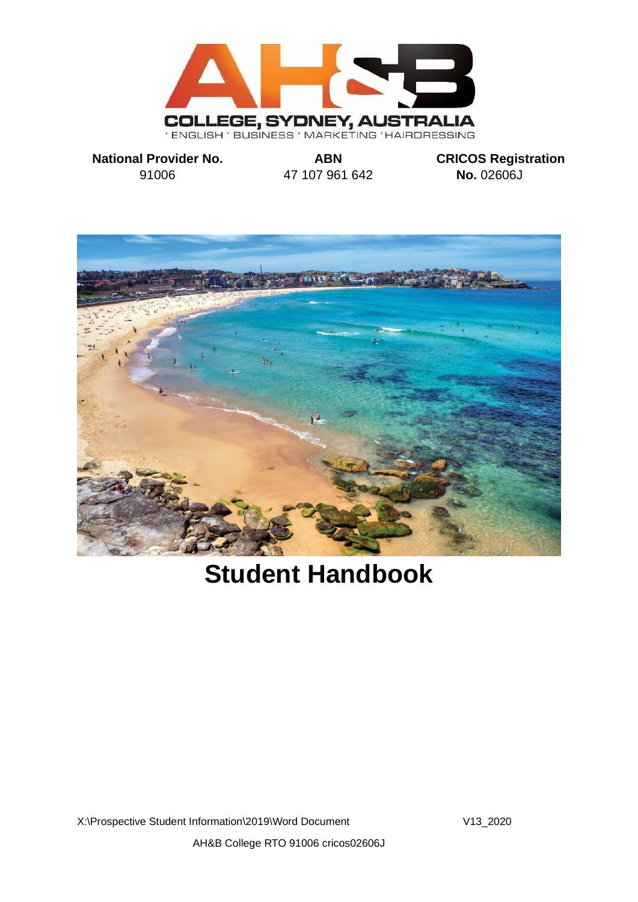

**National Provider No. ABN CRICOS Registration**

91006 47 107 961 642 **No.** 02606J



# **Student Handbook**

X:\Prospective Student Information\2019\Word Document V13\_2020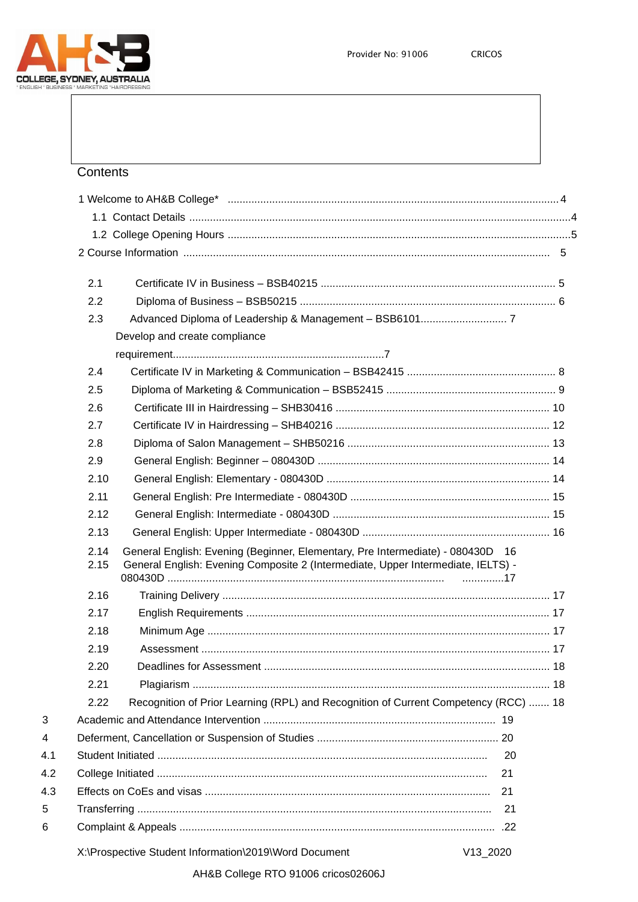

#### Contents

 $\mathbf{3}$  $\overline{4}$  $4.1$  $4.2$ 4.3  $\overline{5}$  $6\phantom{a}$ 

|              | 1 Welcome to AH&B College* members and announcement control of the College* members and announcement of the Co                                                  |          |  |
|--------------|-----------------------------------------------------------------------------------------------------------------------------------------------------------------|----------|--|
|              |                                                                                                                                                                 |          |  |
|              |                                                                                                                                                                 |          |  |
|              |                                                                                                                                                                 |          |  |
| 2.1          |                                                                                                                                                                 |          |  |
| 2.2          |                                                                                                                                                                 |          |  |
| 2.3          |                                                                                                                                                                 |          |  |
|              | Develop and create compliance                                                                                                                                   |          |  |
|              |                                                                                                                                                                 |          |  |
| 2.4          |                                                                                                                                                                 |          |  |
| 2.5          |                                                                                                                                                                 |          |  |
| 2.6          |                                                                                                                                                                 |          |  |
| 2.7          |                                                                                                                                                                 |          |  |
| 2.8          |                                                                                                                                                                 |          |  |
| 2.9          |                                                                                                                                                                 |          |  |
| 2.10         |                                                                                                                                                                 |          |  |
| 2.11         |                                                                                                                                                                 |          |  |
| 2.12         |                                                                                                                                                                 |          |  |
| 2.13         |                                                                                                                                                                 |          |  |
| 2.14<br>2.15 | General English: Evening (Beginner, Elementary, Pre Intermediate) - 080430D<br>General English: Evening Composite 2 (Intermediate, Upper Intermediate, IELTS) - | 16       |  |
| 2.16         |                                                                                                                                                                 |          |  |
| 2.17         |                                                                                                                                                                 |          |  |
| 2.18         |                                                                                                                                                                 |          |  |
| 2.19         |                                                                                                                                                                 |          |  |
| 2.20         |                                                                                                                                                                 |          |  |
| 2.21         |                                                                                                                                                                 |          |  |
| 2.22         | Recognition of Prior Learning (RPL) and Recognition of Current Competency (RCC)  18                                                                             |          |  |
|              |                                                                                                                                                                 |          |  |
|              |                                                                                                                                                                 |          |  |
|              |                                                                                                                                                                 | 20       |  |
|              |                                                                                                                                                                 | 21       |  |
|              |                                                                                                                                                                 | 21       |  |
|              |                                                                                                                                                                 | -21      |  |
|              |                                                                                                                                                                 |          |  |
|              | X:\Prospective Student Information\2019\Word Document                                                                                                           | V13_2020 |  |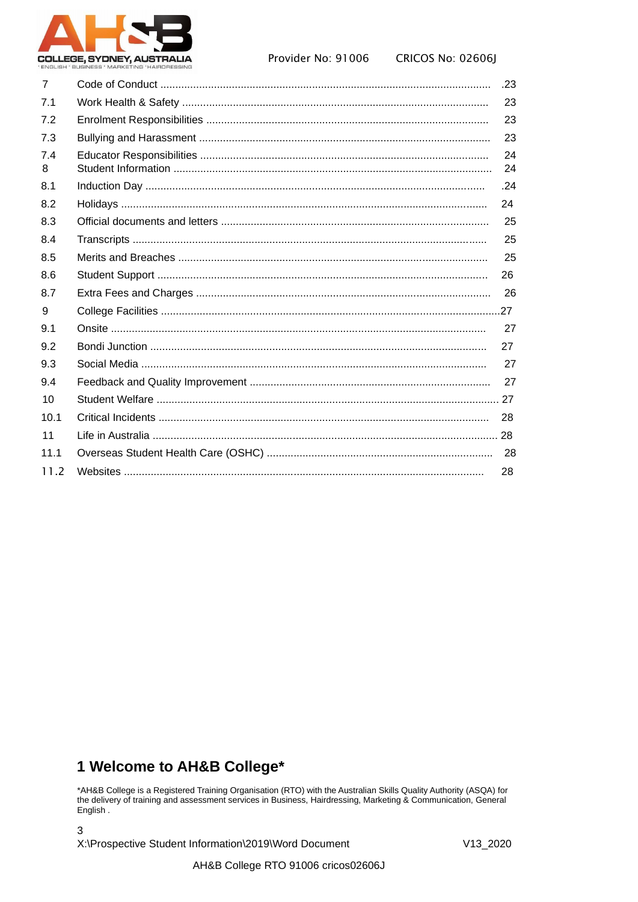

Provider No: 91006

| $\overline{7}$ | .23      |
|----------------|----------|
| 7.1            | 23       |
| 7.2            | 23       |
| 7.3            | 23       |
| 7.4<br>8       | 24<br>24 |
| 8.1            | .24      |
| 8.2            | 24       |
| 8.3            | 25       |
| 8.4            | 25       |
| 8.5            | 25       |
| 8.6            | 26       |
| 8.7            | 26       |
| 9              |          |
| 9.1            | 27       |
| 9.2            | 27       |
| 9.3            | 27       |
| 9.4            | 27       |
| 10             |          |
| 10.1           | 28       |
| 11             |          |
| 11.1           | 28       |
| 11.2           | 28       |

# <span id="page-2-0"></span>1 Welcome to AH&B College\*

\*AH&B College is a Registered Training Organisation (RTO) with the Australian Skills Quality Authority (ASQA) for the delivery of training and assessment services in Business, Hairdressing, Marketing & Communication, General English.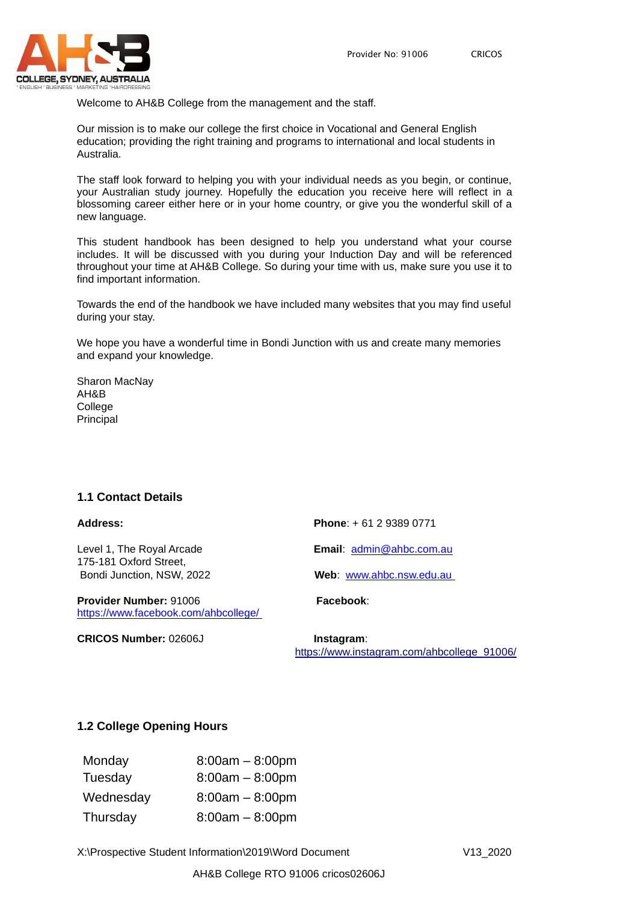

Welcome to AH&B College from the management and the staff.

Our mission is to make our college the first choice in Vocational and General English education; providing the right training and programs to international and local students in Australia.

The staff look forward to helping you with your individual needs as you begin, or continue, your Australian study journey. Hopefully the education you receive here will reflect in a blossoming career either here or in your home country, or give you the wonderful skill of a new language.

This student handbook has been designed to help you understand what your course includes. It will be discussed with you during your Induction Day and will be referenced throughout your time at AH&B College. So during your time with us, make sure you use it to find important information.

Towards the end of the handbook we have included many websites that you may find useful during your stay.

We hope you have a wonderful time in Bondi Junction with us and create many memories and expand your knowledge.

Sharon MacNay AH&B **College** Principal

#### <span id="page-3-0"></span>**1.1 Contact Details**

#### **Address: Phone**: + 61 2 9389 0771

Level 1, The Royal Arcade **Email**: admin@ahbc.com.au 175-181 Oxford Street, Bondi Junction, NSW, 2022 **Web**: [www.ahbc.nsw.edu.au](http://www.ahbc.nsw.edu.au/)

**Provider Number:** 91006 **Facebook**: <https://www.facebook.com/ahbcollege/>

**CRICOS Number:** 02606J **Instagram**:

[https://www.instagram.com/ahbcollege\\_91006/](https://www.instagram.com/ahbcollege_91006/)

#### <span id="page-3-1"></span>**1.2 College Opening Hours**

| Monday    | $8:00am - 8:00pm$ |
|-----------|-------------------|
| Tuesday   | $8:00am - 8:00pm$ |
| Wednesday | $8:00am - 8:00pm$ |
| Thursday  | $8:00am - 8:00pm$ |

X:\Prospective Student Information\2019\Word Document V13\_2020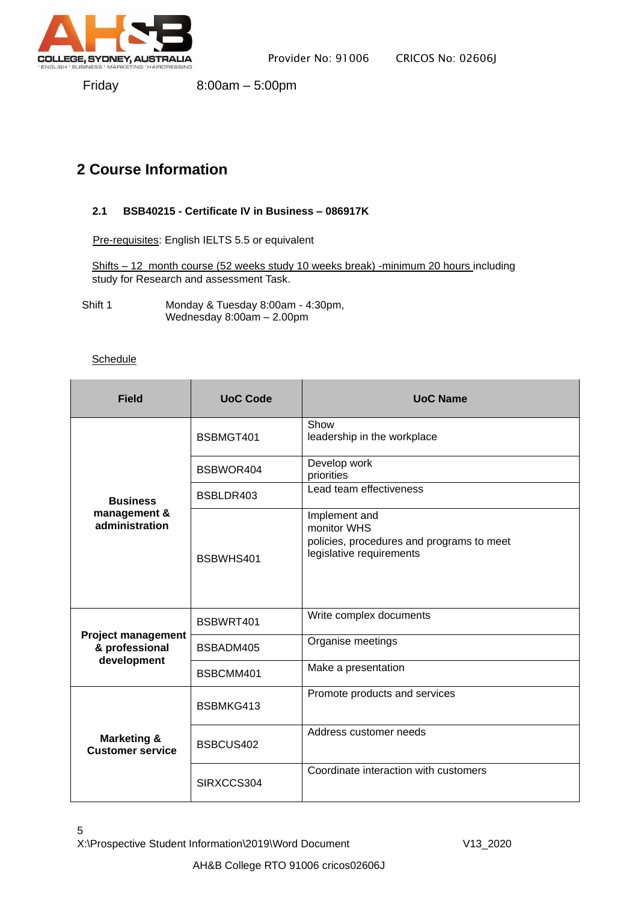

Friday 8:00am – 5:00pm

## <span id="page-4-0"></span>**2 Course Information**

#### **2.1 BSB40215 - Certificate IV in Business – 086917K**

Pre-requisites: English IELTS 5.5 or equivalent

Shifts – 12 month course (52 weeks study 10 weeks break) -minimum 20 hours including study for Research and assessment Task.

Shift 1 Monday & Tuesday 8:00am - 4:30pm, Wednesday 8:00am – 2.00pm

#### Schedule

| <b>Field</b>                                      | <b>UoC Code</b> | <b>UoC Name</b>                                                                                       |
|---------------------------------------------------|-----------------|-------------------------------------------------------------------------------------------------------|
|                                                   | BSBMGT401       | Show<br>leadership in the workplace                                                                   |
|                                                   | BSBWOR404       | Develop work<br>priorities                                                                            |
| <b>Business</b>                                   | BSBLDR403       | Lead team effectiveness                                                                               |
| management &<br>administration                    | BSBWHS401       | Implement and<br>monitor WHS<br>policies, procedures and programs to meet<br>legislative requirements |
|                                                   | BSBWRT401       | Write complex documents                                                                               |
| <b>Project management</b><br>& professional       | BSBADM405       | Organise meetings                                                                                     |
| development                                       | BSBCMM401       | Make a presentation                                                                                   |
|                                                   | BSBMKG413       | Promote products and services                                                                         |
| <b>Marketing &amp;</b><br><b>Customer service</b> | BSBCUS402       | Address customer needs                                                                                |
|                                                   | SIRXCCS304      | Coordinate interaction with customers                                                                 |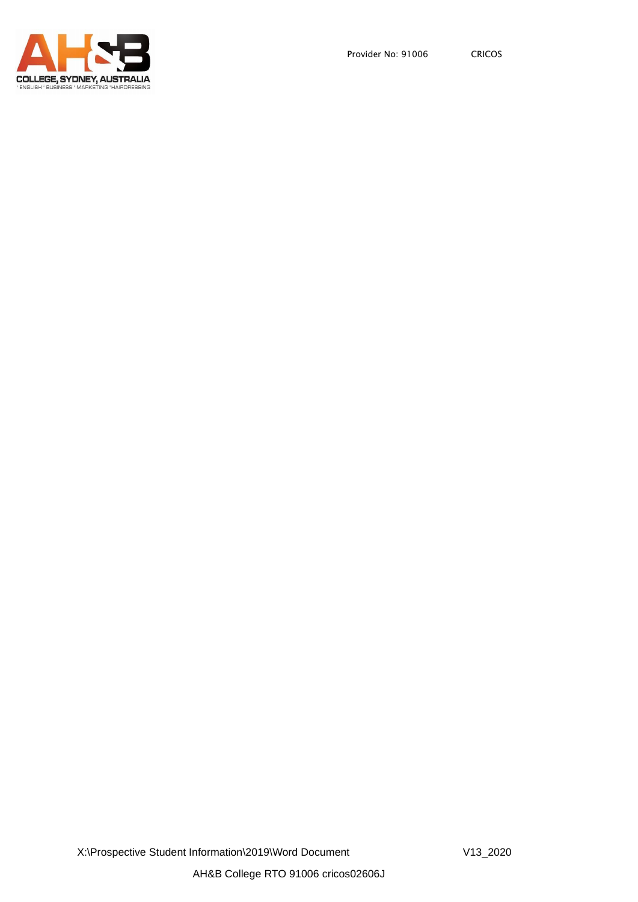

Provider No: 91006 CRICOS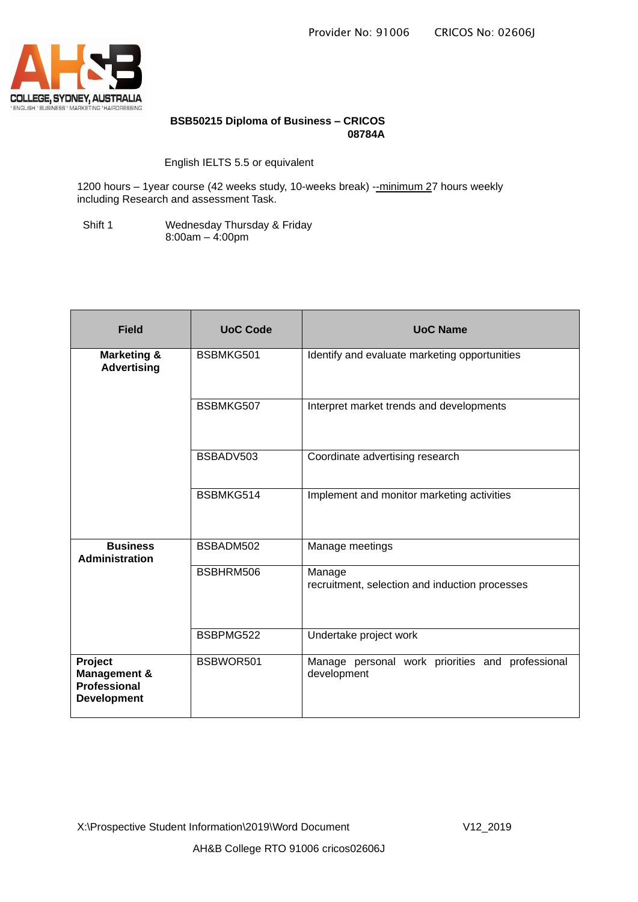

#### **BSB50215 Diploma of Business – CRICOS 08784A**

English IELTS 5.5 or equivalent

1200 hours - 1year course (42 weeks study, 10-weeks break) --minimum 27 hours weekly including Research and assessment Task.

Shift 1 Wednesday Thursday & Friday 8:00am – 4:00pm

| <b>Field</b>                                                         | <b>UoC Code</b> | <b>UoC Name</b>                                                 |
|----------------------------------------------------------------------|-----------------|-----------------------------------------------------------------|
| <b>Marketing &amp;</b><br><b>Advertising</b>                         | BSBMKG501       | Identify and evaluate marketing opportunities                   |
|                                                                      | BSBMKG507       | Interpret market trends and developments                        |
|                                                                      | BSBADV503       | Coordinate advertising research                                 |
|                                                                      | BSBMKG514       | Implement and monitor marketing activities                      |
| <b>Business</b><br><b>Administration</b>                             | BSBADM502       | Manage meetings                                                 |
|                                                                      | BSBHRM506       | Manage<br>recruitment, selection and induction processes        |
|                                                                      | BSBPMG522       | Undertake project work                                          |
| Project<br>Management &<br><b>Professional</b><br><b>Development</b> | BSBWOR501       | Manage personal work priorities and professional<br>development |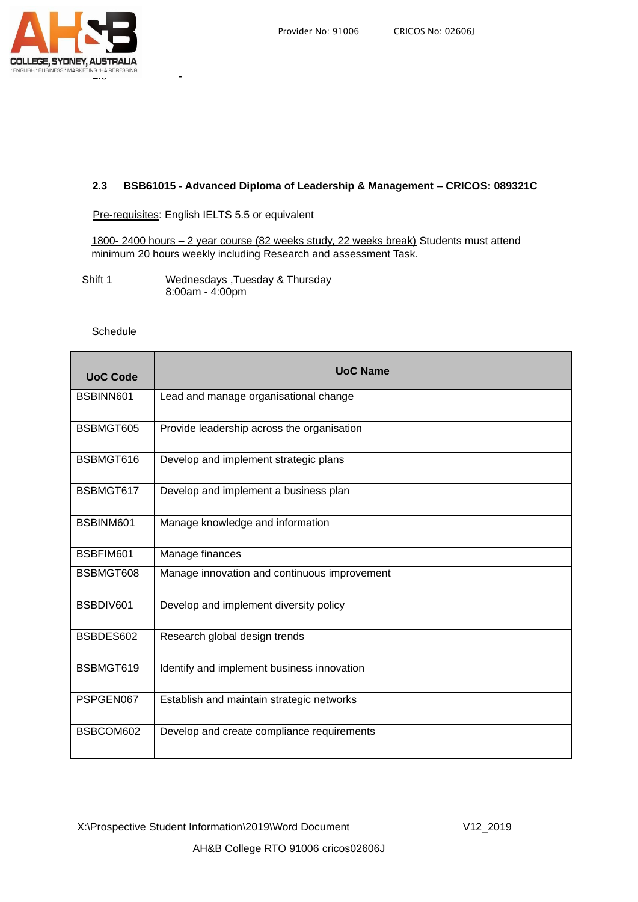

#### **2.3 BSB61015 - Advanced Diploma of Leadership & Management – CRICOS: 089321C**

Pre-requisites: English IELTS 5.5 or equivalent

1800- 2400 hours – 2 year course (82 weeks study, 22 weeks break) Students must attend minimum 20 hours weekly including Research and assessment Task.

Shift 1 Wednesdays ,Tuesday & Thursday 8:00am - 4:00pm

#### **Schedule**

| <b>UoC Code</b> | <b>UoC Name</b>                              |
|-----------------|----------------------------------------------|
| BSBINN601       | Lead and manage organisational change        |
| BSBMGT605       | Provide leadership across the organisation   |
| BSBMGT616       | Develop and implement strategic plans        |
| BSBMGT617       | Develop and implement a business plan        |
| BSBINM601       | Manage knowledge and information             |
| BSBFIM601       | Manage finances                              |
| BSBMGT608       | Manage innovation and continuous improvement |
| BSBDIV601       | Develop and implement diversity policy       |
| BSBDES602       | Research global design trends                |
| BSBMGT619       | Identify and implement business innovation   |
| PSPGEN067       | Establish and maintain strategic networks    |
| BSBCOM602       | Develop and create compliance requirements   |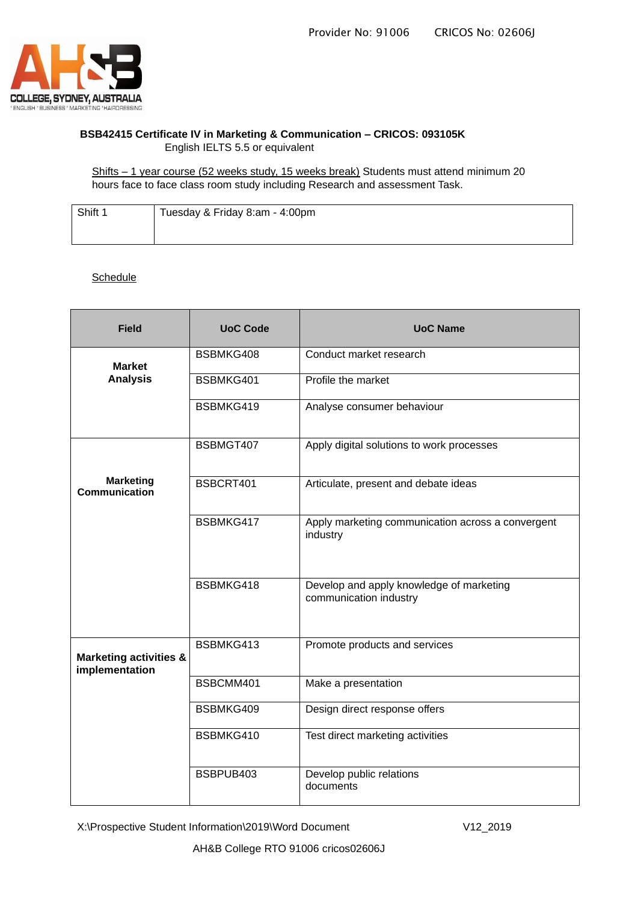

#### **BSB42415 Certificate IV in Marketing & Communication – CRICOS: 093105K**

English IELTS 5.5 or equivalent

Shifts - 1 year course (52 weeks study, 15 weeks break) Students must attend minimum 20 hours face to face class room study including Research and assessment Task.

| Shift 1 | Tuesday & Friday 8:am - 4:00pm |
|---------|--------------------------------|
|         |                                |

#### **Schedule**

| <b>Field</b>                                        | <b>UoC Code</b> | <b>UoC Name</b>                                                    |
|-----------------------------------------------------|-----------------|--------------------------------------------------------------------|
| <b>Market</b>                                       | BSBMKG408       | Conduct market research                                            |
| <b>Analysis</b>                                     | BSBMKG401       | Profile the market                                                 |
|                                                     | BSBMKG419       | Analyse consumer behaviour                                         |
|                                                     | BSBMGT407       | Apply digital solutions to work processes                          |
| <b>Marketing</b><br>Communication                   | BSBCRT401       | Articulate, present and debate ideas                               |
|                                                     | BSBMKG417       | Apply marketing communication across a convergent<br>industry      |
|                                                     | BSBMKG418       | Develop and apply knowledge of marketing<br>communication industry |
| <b>Marketing activities &amp;</b><br>implementation | BSBMKG413       | Promote products and services                                      |
|                                                     | BSBCMM401       | Make a presentation                                                |
|                                                     | BSBMKG409       | Design direct response offers                                      |
|                                                     | BSBMKG410       | Test direct marketing activities                                   |
|                                                     | BSBPUB403       | Develop public relations<br>documents                              |

X:\Prospective Student Information\2019\Word Document V12\_2019

 $\overline{\phantom{a}}$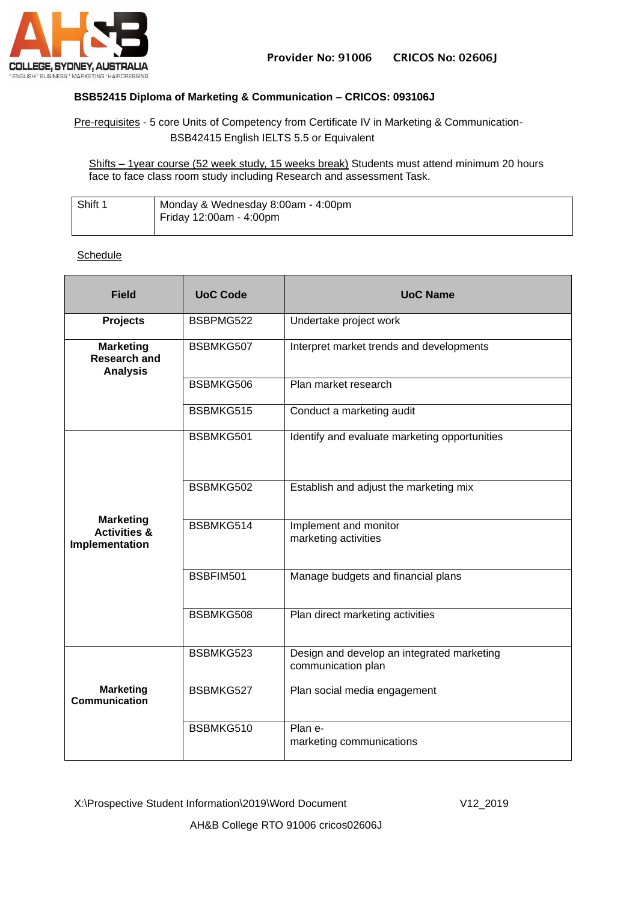

#### **BSB52415 Diploma of Marketing & Communication – CRICOS: 093106J**

Pre-requisites - 5 core Units of Competency from Certificate IV in Marketing & Communication-BSB42415 English IELTS 5.5 or Equivalent

Shifts – 1year course (52 week study, 15 weeks break) Students must attend minimum 20 hours face to face class room study including Research and assessment Task.

| Shift 1 | Monday & Wednesday 8:00am - 4:00pm |
|---------|------------------------------------|
|         | Friday 12:00am - 4:00pm            |
|         |                                    |

#### Schedule

| <b>Field</b>                                                  | <b>UoC Code</b> | <b>UoC Name</b>                                                  |
|---------------------------------------------------------------|-----------------|------------------------------------------------------------------|
| <b>Projects</b>                                               | BSBPMG522       | Undertake project work                                           |
| <b>Marketing</b><br><b>Research and</b><br><b>Analysis</b>    | BSBMKG507       | Interpret market trends and developments                         |
|                                                               | BSBMKG506       | Plan market research                                             |
|                                                               | BSBMKG515       | Conduct a marketing audit                                        |
|                                                               | BSBMKG501       | Identify and evaluate marketing opportunities                    |
|                                                               | BSBMKG502       | Establish and adjust the marketing mix                           |
| <b>Marketing</b><br><b>Activities &amp;</b><br>Implementation | BSBMKG514       | Implement and monitor<br>marketing activities                    |
|                                                               | BSBFIM501       | Manage budgets and financial plans                               |
|                                                               | BSBMKG508       | Plan direct marketing activities                                 |
|                                                               | BSBMKG523       | Design and develop an integrated marketing<br>communication plan |
| <b>Marketing</b><br><b>Communication</b>                      | BSBMKG527       | Plan social media engagement                                     |
|                                                               | BSBMKG510       | Plan e-<br>marketing communications                              |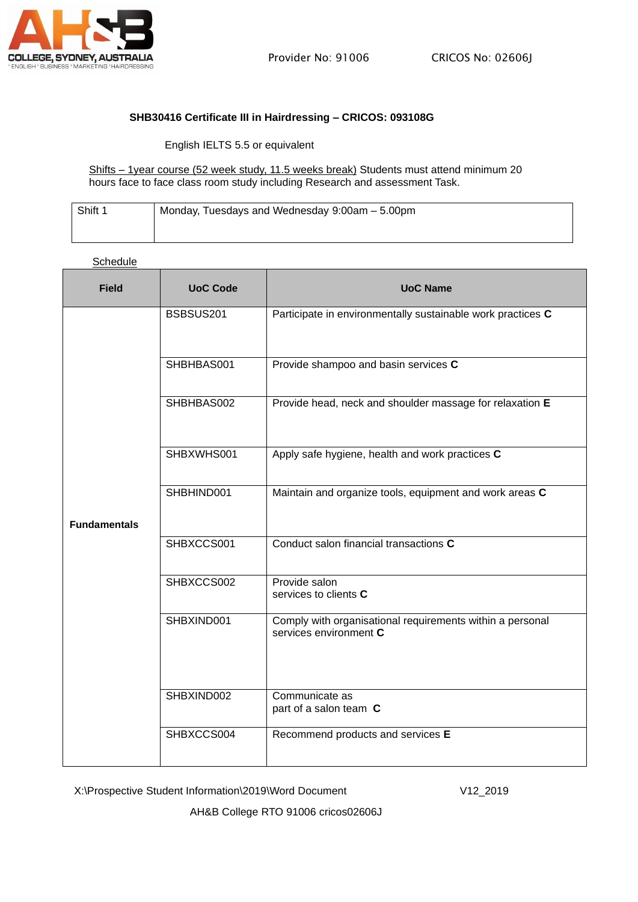

### **SHB30416 Certificate III in Hairdressing – CRICOS: 093108G**

English IELTS 5.5 or equivalent

Shifts – 1year course (52 week study, 11.5 weeks break) Students must attend minimum 20 hours face to face class room study including Research and assessment Task.

| Shift <sup>1</sup> | Monday, Tuesdays and Wednesday 9:00am - 5.00pm |
|--------------------|------------------------------------------------|
|                    |                                                |

#### Schedule

| <b>Field</b>        | <b>UoC Code</b> | <b>UoC Name</b>                                                                     |
|---------------------|-----------------|-------------------------------------------------------------------------------------|
|                     | BSBSUS201       | Participate in environmentally sustainable work practices C                         |
|                     | SHBHBAS001      | Provide shampoo and basin services C                                                |
|                     | SHBHBAS002      | Provide head, neck and shoulder massage for relaxation E                            |
|                     | SHBXWHS001      | Apply safe hygiene, health and work practices C                                     |
|                     | SHBHIND001      | Maintain and organize tools, equipment and work areas C                             |
| <b>Fundamentals</b> |                 |                                                                                     |
|                     | SHBXCCS001      | Conduct salon financial transactions C                                              |
|                     | SHBXCCS002      | Provide salon<br>services to clients C                                              |
|                     | SHBXIND001      | Comply with organisational requirements within a personal<br>services environment C |
|                     | SHBXIND002      | Communicate as<br>part of a salon team C                                            |
|                     | SHBXCCS004      | Recommend products and services E                                                   |

X:\Prospective Student Information\2019\Word Document V12\_2019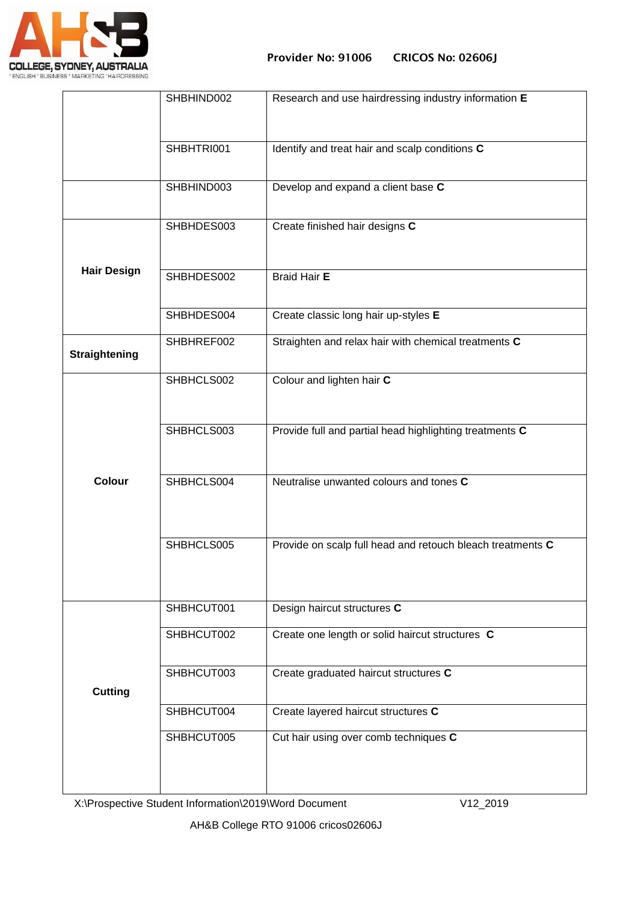

|                      | SHBHIND002 | Research and use hairdressing industry information E       |
|----------------------|------------|------------------------------------------------------------|
|                      | SHBHTRI001 | Identify and treat hair and scalp conditions C             |
|                      | SHBHIND003 | Develop and expand a client base C                         |
|                      | SHBHDES003 | Create finished hair designs C                             |
| <b>Hair Design</b>   | SHBHDES002 | <b>Braid Hair E</b>                                        |
|                      | SHBHDES004 | Create classic long hair up-styles E                       |
| <b>Straightening</b> | SHBHREF002 | Straighten and relax hair with chemical treatments C       |
|                      | SHBHCLS002 | Colour and lighten hair C                                  |
|                      | SHBHCLS003 | Provide full and partial head highlighting treatments C    |
| <b>Colour</b>        | SHBHCLS004 | Neutralise unwanted colours and tones C                    |
|                      | SHBHCLS005 | Provide on scalp full head and retouch bleach treatments C |
|                      | SHBHCUT001 | Design haircut structures C                                |
|                      | SHBHCUT002 | Create one length or solid haircut structures C            |
| <b>Cutting</b>       | SHBHCUT003 | Create graduated haircut structures C                      |
|                      | SHBHCUT004 | Create layered haircut structures C                        |
|                      | SHBHCUT005 | Cut hair using over comb techniques C                      |
|                      |            |                                                            |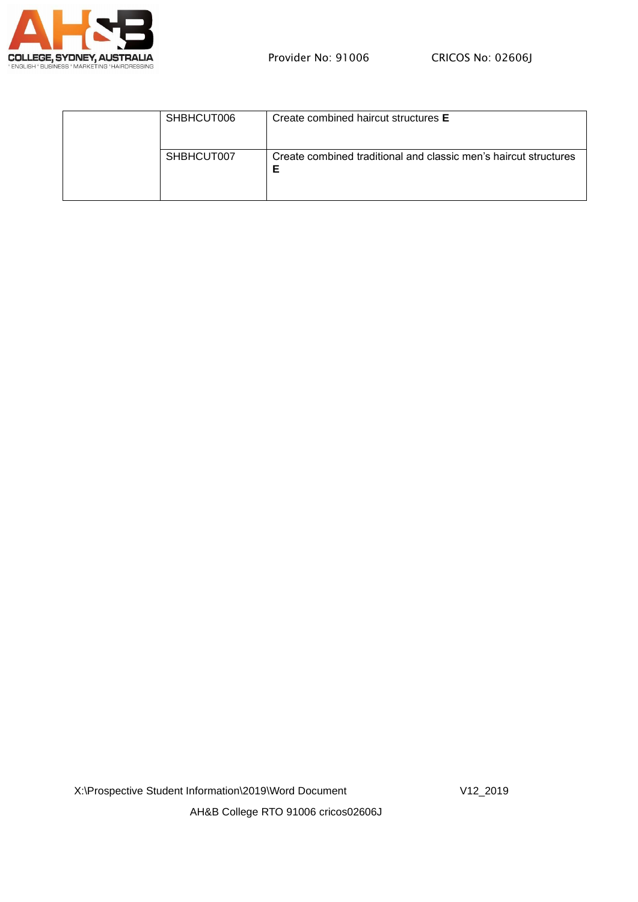

| SHBHCUT006 | Create combined haircut structures E                             |
|------------|------------------------------------------------------------------|
| SHBHCUT007 | Create combined traditional and classic men's haircut structures |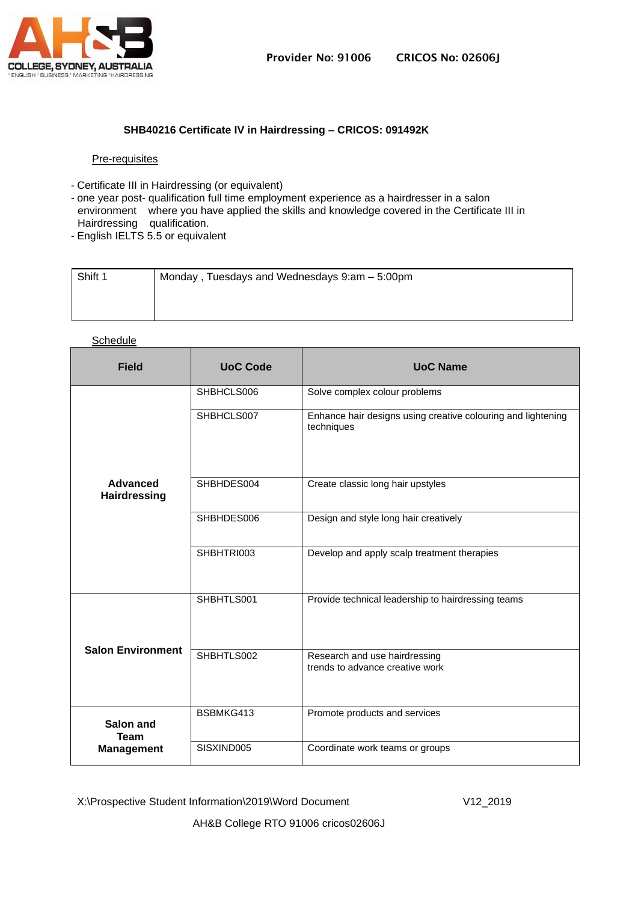

#### **SHB40216 Certificate IV in Hairdressing – CRICOS: 091492K**

#### Pre-requisites

- Certificate III in Hairdressing (or equivalent)
- one year post- qualification full time employment experience as a hairdresser in a salon environment where you have applied the skills and knowledge covered in the Certificate III in Hairdressing qualification.
- English IELTS 5.5 or equivalent

| Shift 1 | Monday, Tuesdays and Wednesdays 9:am - 5:00pm |
|---------|-----------------------------------------------|
|         |                                               |
|         |                                               |

**Schedule** 

| <b>Field</b>             | <b>UoC Code</b> | <b>UoC Name</b>                                                            |
|--------------------------|-----------------|----------------------------------------------------------------------------|
|                          | SHBHCLS006      | Solve complex colour problems                                              |
|                          | SHBHCLS007      | Enhance hair designs using creative colouring and lightening<br>techniques |
| Advanced<br>Hairdressing | SHBHDES004      | Create classic long hair upstyles                                          |
|                          | SHBHDES006      | Design and style long hair creatively                                      |
|                          | SHBHTRI003      | Develop and apply scalp treatment therapies                                |
|                          | SHBHTLS001      | Provide technical leadership to hairdressing teams                         |
| <b>Salon Environment</b> | SHBHTLS002      | Research and use hairdressing<br>trends to advance creative work           |
| Salon and<br><b>Team</b> | BSBMKG413       | Promote products and services                                              |
| <b>Management</b>        | SISXIND005      | Coordinate work teams or groups                                            |

X:\Prospective Student Information\2019\Word Document V12\_2019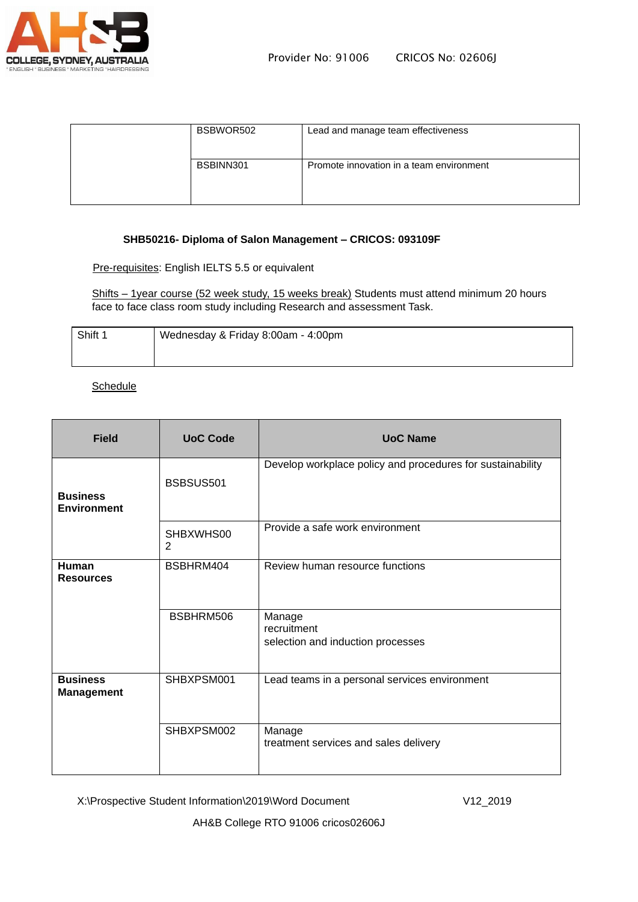

| BSBWOR502 | Lead and manage team effectiveness       |
|-----------|------------------------------------------|
| BSBINN301 | Promote innovation in a team environment |

#### **SHB50216- Diploma of Salon Management – CRICOS: 093109F**

Pre-requisites: English IELTS 5.5 or equivalent

Shifts – 1year course (52 week study, 15 weeks break) Students must attend minimum 20 hours face to face class room study including Research and assessment Task.

| Shift 1 | Wednesday & Friday 8:00am - 4:00pm |
|---------|------------------------------------|
|         |                                    |

#### **Schedule**

| <b>Field</b>                          | <b>UoC Code</b> | <b>UoC Name</b>                                            |
|---------------------------------------|-----------------|------------------------------------------------------------|
| <b>Business</b><br><b>Environment</b> | BSBSUS501       | Develop workplace policy and procedures for sustainability |
|                                       | SHBXWHS00<br>2  | Provide a safe work environment                            |
| Human<br><b>Resources</b>             | BSBHRM404       | Review human resource functions                            |
|                                       | BSBHRM506       | Manage<br>recruitment<br>selection and induction processes |
| <b>Business</b><br><b>Management</b>  | SHBXPSM001      | Lead teams in a personal services environment              |
|                                       | SHBXPSM002      | Manage<br>treatment services and sales delivery            |

X:\Prospective Student Information\2019\Word Document V12\_2019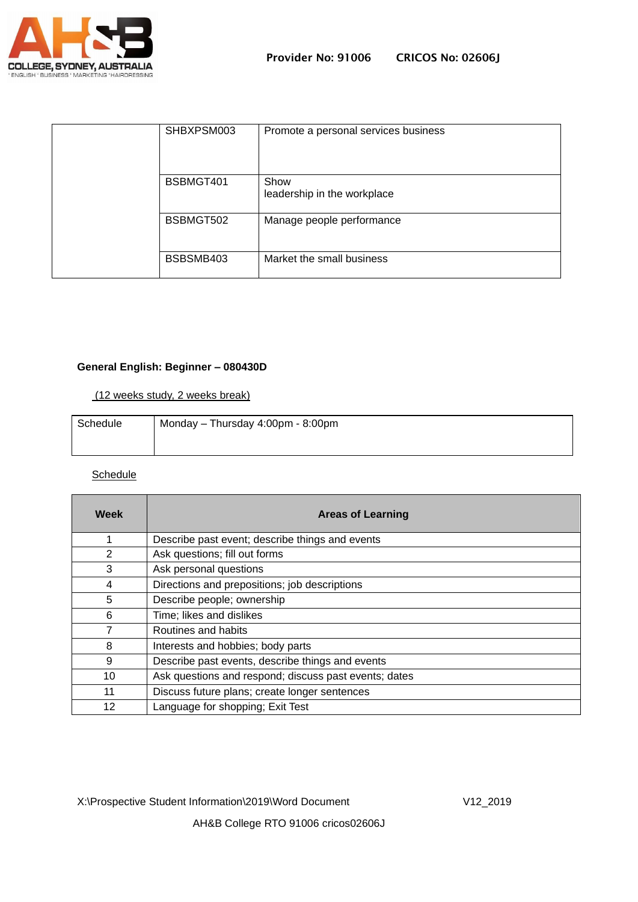

| SHBXPSM003 | Promote a personal services business |
|------------|--------------------------------------|
| BSBMGT401  | Show<br>leadership in the workplace  |
| BSBMGT502  | Manage people performance            |
| BSBSMB403  | Market the small business            |

#### **General English: Beginner – 080430D**

#### (12 weeks study, 2 weeks break)

| Schedule | Monday - Thursday 4:00pm - 8:00pm |
|----------|-----------------------------------|
|          |                                   |

#### **Schedule**

| <b>Week</b> | <b>Areas of Learning</b>                              |
|-------------|-------------------------------------------------------|
| 1           | Describe past event; describe things and events       |
| 2           | Ask questions; fill out forms                         |
| 3           | Ask personal questions                                |
| 4           | Directions and prepositions; job descriptions         |
| 5           | Describe people; ownership                            |
| 6           | Time; likes and dislikes                              |
|             | Routines and habits                                   |
| 8           | Interests and hobbies; body parts                     |
| 9           | Describe past events, describe things and events      |
| 10          | Ask questions and respond; discuss past events; dates |
| 11          | Discuss future plans; create longer sentences         |
| 12          | Language for shopping; Exit Test                      |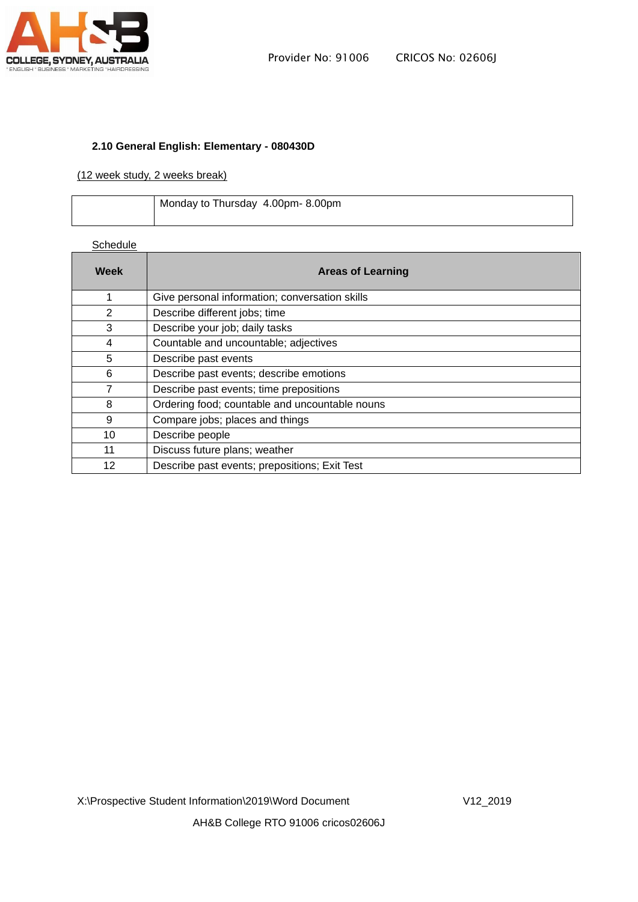

#### **2.10 General English: Elementary - 080430D**

(12 week study, 2 weeks break)

| Monday to Thursday 4.00pm-8.00pm |
|----------------------------------|
|                                  |

#### **Schedule**

| Week | <b>Areas of Learning</b>                       |
|------|------------------------------------------------|
|      | Give personal information; conversation skills |
| 2    | Describe different jobs; time                  |
| 3    | Describe your job; daily tasks                 |
| 4    | Countable and uncountable; adjectives          |
| 5    | Describe past events                           |
| 6    | Describe past events; describe emotions        |
|      | Describe past events; time prepositions        |
| 8    | Ordering food; countable and uncountable nouns |
| 9    | Compare jobs; places and things                |
| 10   | Describe people                                |
| 11   | Discuss future plans; weather                  |
| 12   | Describe past events; prepositions; Exit Test  |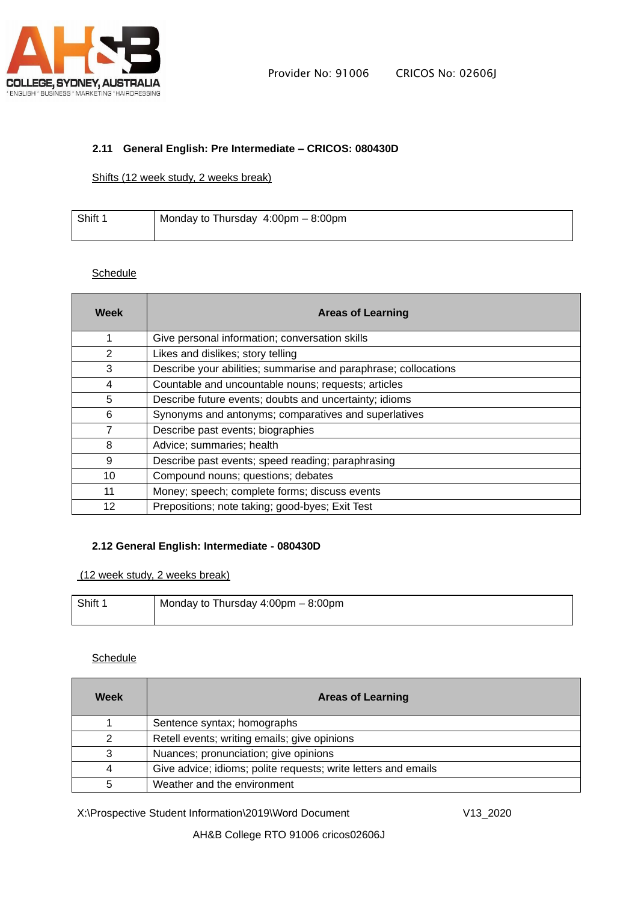

#### **2.11 General English: Pre Intermediate – CRICOS: 080430D**

#### Shifts (12 week study, 2 weeks break)

| Shift 1 | Monday to Thursday $4:00 \text{pm} - 8:00 \text{pm}$ |
|---------|------------------------------------------------------|
|         |                                                      |

#### **Schedule**

| Week | <b>Areas of Learning</b>                                        |
|------|-----------------------------------------------------------------|
|      | Give personal information; conversation skills                  |
| 2    | Likes and dislikes; story telling                               |
| 3    | Describe your abilities; summarise and paraphrase; collocations |
| 4    | Countable and uncountable nouns; requests; articles             |
| 5    | Describe future events; doubts and uncertainty; idioms          |
| 6    | Synonyms and antonyms; comparatives and superlatives            |
|      | Describe past events; biographies                               |
| 8    | Advice; summaries; health                                       |
| 9    | Describe past events; speed reading; paraphrasing               |
| 10   | Compound nouns; questions; debates                              |
| 11   | Money; speech; complete forms; discuss events                   |
| 12   | Prepositions; note taking; good-byes; Exit Test                 |

#### **2.12 General English: Intermediate - 080430D**

(12 week study, 2 weeks break)

| Shift | Monday to Thursday $4:00 \text{pm} - 8:00 \text{pm}$ |
|-------|------------------------------------------------------|
|       |                                                      |

#### **Schedule**

| Week | <b>Areas of Learning</b>                                       |
|------|----------------------------------------------------------------|
|      | Sentence syntax; homographs                                    |
|      | Retell events; writing emails; give opinions                   |
| ว    | Nuances; pronunciation; give opinions                          |
|      | Give advice; idioms; polite requests; write letters and emails |
|      | Weather and the environment                                    |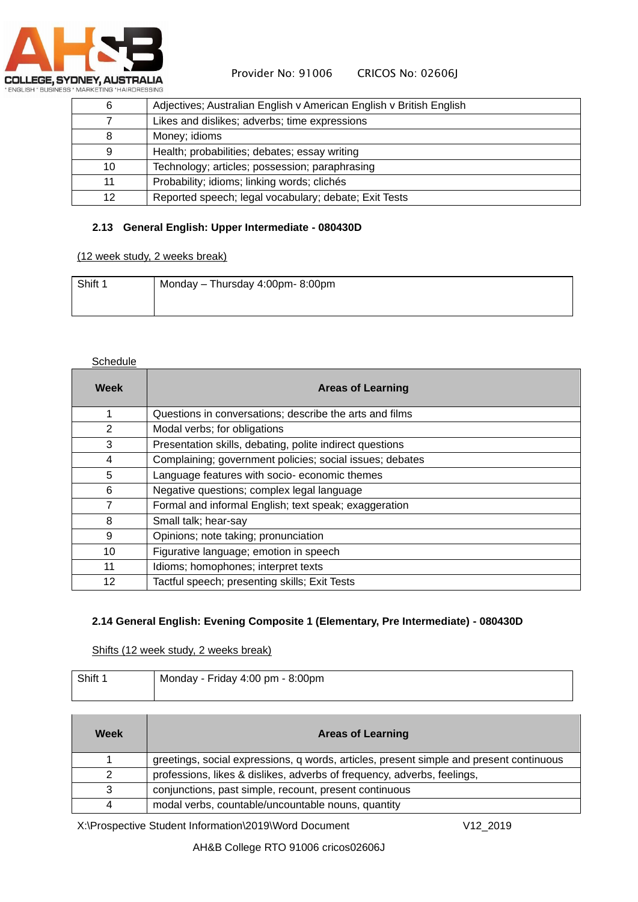

Provider No: 91006 CRICOS No: 02606J

| 6  | Adjectives; Australian English v American English v British English |
|----|---------------------------------------------------------------------|
|    | Likes and dislikes; adverbs; time expressions                       |
|    | Money; idioms                                                       |
|    | Health; probabilities; debates; essay writing                       |
| 10 | Technology; articles; possession; paraphrasing                      |
| 11 | Probability; idioms; linking words; clichés                         |
| 12 | Reported speech; legal vocabulary; debate; Exit Tests               |
|    |                                                                     |

#### **2.13 General English: Upper Intermediate - 080430D**

#### (12 week study, 2 weeks break)

| Shift 1 | Monday - Thursday 4:00pm-8:00pm |
|---------|---------------------------------|
|         |                                 |

#### **Schedule**

| <b>Week</b> | <b>Areas of Learning</b>                                 |
|-------------|----------------------------------------------------------|
|             | Questions in conversations; describe the arts and films  |
| 2           | Modal verbs; for obligations                             |
| 3           | Presentation skills, debating, polite indirect questions |
| 4           | Complaining; government policies; social issues; debates |
| 5           | Language features with socio-economic themes             |
| 6           | Negative questions; complex legal language               |
|             | Formal and informal English; text speak; exaggeration    |
| 8           | Small talk; hear-say                                     |
| 9           | Opinions; note taking; pronunciation                     |
| 10          | Figurative language; emotion in speech                   |
| 11          | Idioms; homophones; interpret texts                      |
| 12          | Tactful speech; presenting skills; Exit Tests            |

#### **2.14 General English: Evening Composite 1 (Elementary, Pre Intermediate) - 080430D**

#### Shifts (12 week study, 2 weeks break)

| Shift | Monday - Friday 4:00 pm - 8:00pm |
|-------|----------------------------------|
|       |                                  |

| <b>Week</b> | <b>Areas of Learning</b>                                                                |  |
|-------------|-----------------------------------------------------------------------------------------|--|
|             | greetings, social expressions, q words, articles, present simple and present continuous |  |
|             | professions, likes & dislikes, adverbs of frequency, adverbs, feelings,                 |  |
|             | conjunctions, past simple, recount, present continuous                                  |  |
|             | modal verbs, countable/uncountable nouns, quantity                                      |  |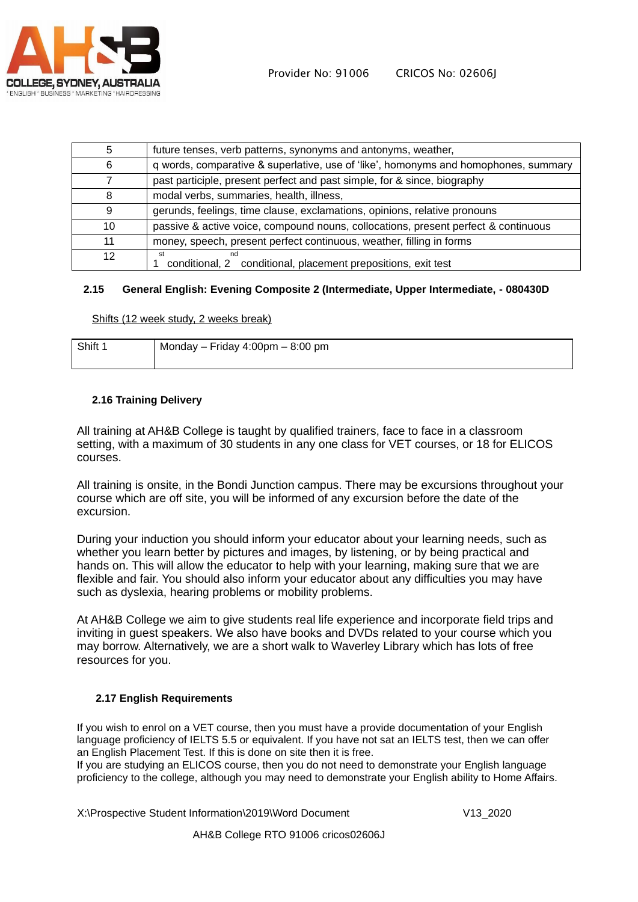

| 5  | future tenses, verb patterns, synonyms and antonyms, weather,                       |  |
|----|-------------------------------------------------------------------------------------|--|
| 6  | q words, comparative & superlative, use of 'like', homonyms and homophones, summary |  |
|    | past participle, present perfect and past simple, for & since, biography            |  |
| 8  | modal verbs, summaries, health, illness,                                            |  |
| 9  | gerunds, feelings, time clause, exclamations, opinions, relative pronouns           |  |
| 10 | passive & active voice, compound nouns, collocations, present perfect & continuous  |  |
| 11 | money, speech, present perfect continuous, weather, filling in forms                |  |
| 12 | st<br>nd<br>conditional, 2 conditional, placement prepositions, exit test           |  |

#### **2.15 General English: Evening Composite 2 (Intermediate, Upper Intermediate, - 080430D**

Shifts (12 week study, 2 weeks break)

| Shift | Monday - Friday $4:00 \text{pm} - 8:00 \text{pm}$ |
|-------|---------------------------------------------------|
|       |                                                   |

#### **2.16 Training Delivery**

All training at AH&B College is taught by qualified trainers, face to face in a classroom setting, with a maximum of 30 students in any one class for VET courses, or 18 for ELICOS courses.

All training is onsite, in the Bondi Junction campus. There may be excursions throughout your course which are off site, you will be informed of any excursion before the date of the excursion.

During your induction you should inform your educator about your learning needs, such as whether you learn better by pictures and images, by listening, or by being practical and hands on. This will allow the educator to help with your learning, making sure that we are flexible and fair. You should also inform your educator about any difficulties you may have such as dyslexia, hearing problems or mobility problems.

At AH&B College we aim to give students real life experience and incorporate field trips and inviting in guest speakers. We also have books and DVDs related to your course which you may borrow. Alternatively, we are a short walk to Waverley Library which has lots of free resources for you.

#### **2.17 English Requirements**

If you wish to enrol on a VET course, then you must have a provide documentation of your English language proficiency of IELTS 5.5 or equivalent. If you have not sat an IELTS test, then we can offer an English Placement Test. If this is done on site then it is free.

If you are studying an ELICOS course, then you do not need to demonstrate your English language proficiency to the college, although you may need to demonstrate your English ability to Home Affairs.

X:\Prospective Student Information\2019\Word Document V13\_2020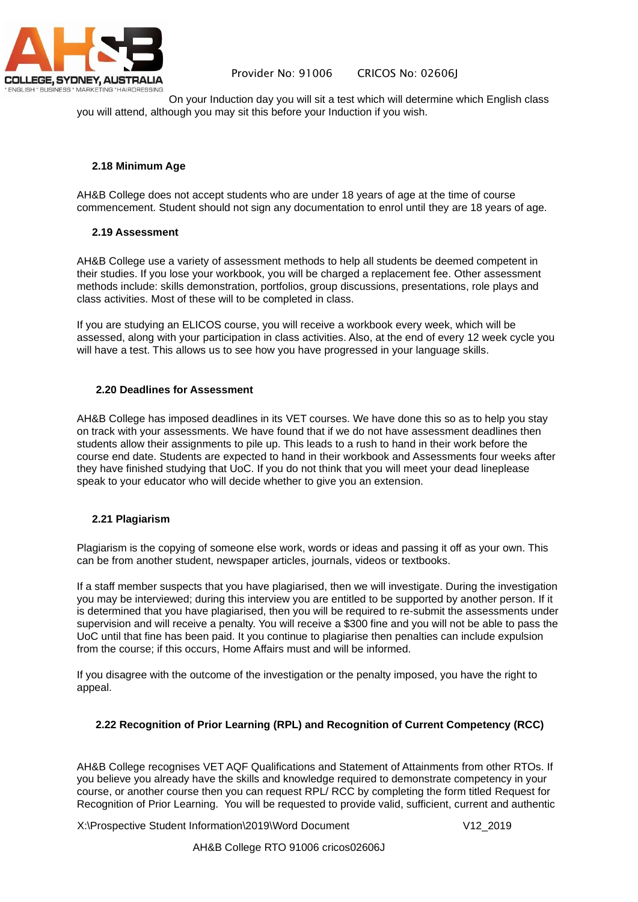

Provider No: 91006 CRICOS No: 02606J

On your Induction day you will sit a test which will determine which English class you will attend, although you may sit this before your Induction if you wish.

#### **2.18 Minimum Age**

AH&B College does not accept students who are under 18 years of age at the time of course commencement. Student should not sign any documentation to enrol until they are 18 years of age.

#### **2.19 Assessment**

AH&B College use a variety of assessment methods to help all students be deemed competent in their studies. If you lose your workbook, you will be charged a replacement fee. Other assessment methods include: skills demonstration, portfolios, group discussions, presentations, role plays and class activities. Most of these will to be completed in class.

If you are studying an ELICOS course, you will receive a workbook every week, which will be assessed, along with your participation in class activities. Also, at the end of every 12 week cycle you will have a test. This allows us to see how you have progressed in your language skills.

#### **2.20 Deadlines for Assessment**

AH&B College has imposed deadlines in its VET courses. We have done this so as to help you stay on track with your assessments. We have found that if we do not have assessment deadlines then students allow their assignments to pile up. This leads to a rush to hand in their work before the course end date. Students are expected to hand in their workbook and Assessments four weeks after they have finished studying that UoC. If you do not think that you will meet your dead lineplease speak to your educator who will decide whether to give you an extension.

#### **2.21 Plagiarism**

Plagiarism is the copying of someone else work, words or ideas and passing it off as your own. This can be from another student, newspaper articles, journals, videos or textbooks.

If a staff member suspects that you have plagiarised, then we will investigate. During the investigation you may be interviewed; during this interview you are entitled to be supported by another person. If it is determined that you have plagiarised, then you will be required to re-submit the assessments under supervision and will receive a penalty. You will receive a \$300 fine and you will not be able to pass the UoC until that fine has been paid. It you continue to plagiarise then penalties can include expulsion from the course; if this occurs, Home Affairs must and will be informed.

If you disagree with the outcome of the investigation or the penalty imposed, you have the right to appeal.

#### **2.22 Recognition of Prior Learning (RPL) and Recognition of Current Competency (RCC)**

AH&B College recognises VET AQF Qualifications and Statement of Attainments from other RTOs. If you believe you already have the skills and knowledge required to demonstrate competency in your course, or another course then you can request RPL/ RCC by completing the form titled Request for Recognition of Prior Learning. You will be requested to provide valid, sufficient, current and authentic

X:\Prospective Student Information\2019\Word Document V12\_2019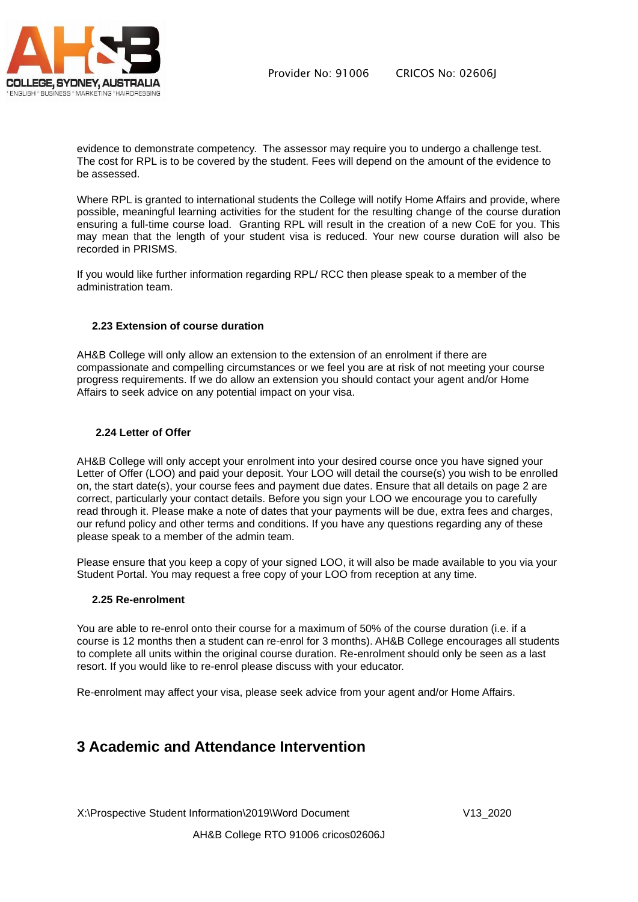

evidence to demonstrate competency. The assessor may require you to undergo a challenge test. The cost for RPL is to be covered by the student. Fees will depend on the amount of the evidence to be assessed.

Where RPL is granted to international students the College will notify Home Affairs and provide, where possible, meaningful learning activities for the student for the resulting change of the course duration ensuring a full-time course load. Granting RPL will result in the creation of a new CoE for you. This may mean that the length of your student visa is reduced. Your new course duration will also be recorded in PRISMS.

If you would like further information regarding RPL/ RCC then please speak to a member of the administration team.

#### **2.23 Extension of course duration**

AH&B College will only allow an extension to the extension of an enrolment if there are compassionate and compelling circumstances or we feel you are at risk of not meeting your course progress requirements. If we do allow an extension you should contact your agent and/or Home Affairs to seek advice on any potential impact on your visa.

#### **2.24 Letter of Offer**

AH&B College will only accept your enrolment into your desired course once you have signed your Letter of Offer (LOO) and paid your deposit. Your LOO will detail the course(s) you wish to be enrolled on, the start date(s), your course fees and payment due dates. Ensure that all details on page 2 are correct, particularly your contact details. Before you sign your LOO we encourage you to carefully read through it. Please make a note of dates that your payments will be due, extra fees and charges, our refund policy and other terms and conditions. If you have any questions regarding any of these please speak to a member of the admin team.

Please ensure that you keep a copy of your signed LOO, it will also be made available to you via your Student Portal. You may request a free copy of your LOO from reception at any time.

#### **2.25 Re-enrolment**

You are able to re-enrol onto their course for a maximum of 50% of the course duration (i.e. if a course is 12 months then a student can re-enrol for 3 months). AH&B College encourages all students to complete all units within the original course duration. Re-enrolment should only be seen as a last resort. If you would like to re-enrol please discuss with your educator.

Re-enrolment may affect your visa, please seek advice from your agent and/or Home Affairs.

### **3 Academic and Attendance Intervention**

X:\Prospective Student Information\2019\Word Document V13\_2020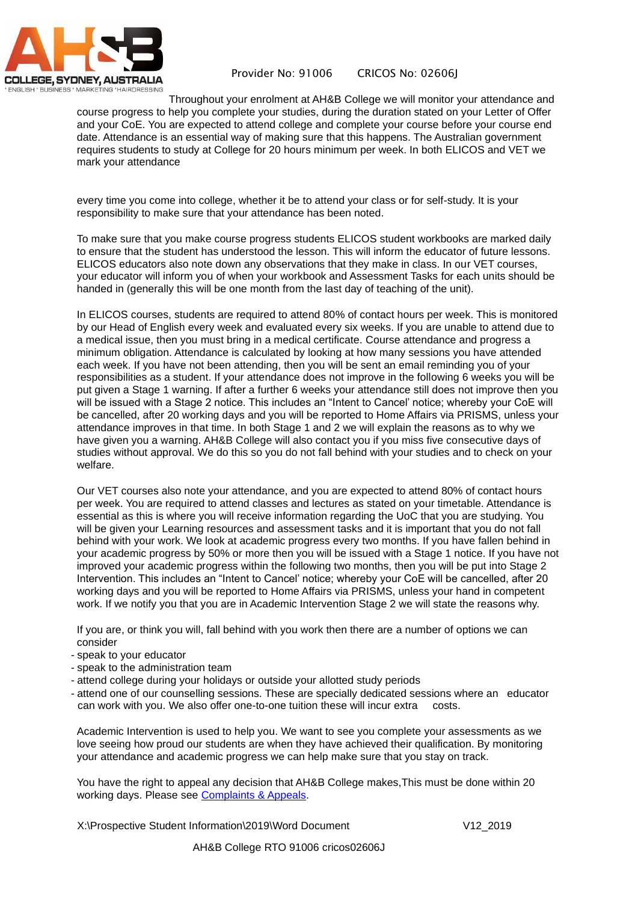

Provider No: 91006 CRICOS No: 02606J

Throughout your enrolment at AH&B College we will monitor your attendance and course progress to help you complete your studies, during the duration stated on your Letter of Offer and your CoE. You are expected to attend college and complete your course before your course end date. Attendance is an essential way of making sure that this happens. The Australian government requires students to study at College for 20 hours minimum per week. In both ELICOS and VET we mark your attendance

every time you come into college, whether it be to attend your class or for self-study. It is your responsibility to make sure that your attendance has been noted.

To make sure that you make course progress students ELICOS student workbooks are marked daily to ensure that the student has understood the lesson. This will inform the educator of future lessons. ELICOS educators also note down any observations that they make in class. In our VET courses, your educator will inform you of when your workbook and Assessment Tasks for each units should be handed in (generally this will be one month from the last day of teaching of the unit).

In ELICOS courses, students are required to attend 80% of contact hours per week. This is monitored by our Head of English every week and evaluated every six weeks. If you are unable to attend due to a medical issue, then you must bring in a medical certificate. Course attendance and progress a minimum obligation. Attendance is calculated by looking at how many sessions you have attended each week. If you have not been attending, then you will be sent an email reminding you of your responsibilities as a student. If your attendance does not improve in the following 6 weeks you will be put given a Stage 1 warning. If after a further 6 weeks your attendance still does not improve then you will be issued with a Stage 2 notice. This includes an "Intent to Cancel' notice; whereby your CoE will be cancelled, after 20 working days and you will be reported to Home Affairs via PRISMS, unless your attendance improves in that time. In both Stage 1 and 2 we will explain the reasons as to why we have given you a warning. AH&B College will also contact you if you miss five consecutive days of studies without approval. We do this so you do not fall behind with your studies and to check on your welfare.

Our VET courses also note your attendance, and you are expected to attend 80% of contact hours per week. You are required to attend classes and lectures as stated on your timetable. Attendance is essential as this is where you will receive information regarding the UoC that you are studying. You will be given your Learning resources and assessment tasks and it is important that you do not fall behind with your work. We look at academic progress every two months. If you have fallen behind in your academic progress by 50% or more then you will be issued with a Stage 1 notice. If you have not improved your academic progress within the following two months, then you will be put into Stage 2 Intervention. This includes an "Intent to Cancel' notice; whereby your CoE will be cancelled, after 20 working days and you will be reported to Home Affairs via PRISMS, unless your hand in competent work. If we notify you that you are in Academic Intervention Stage 2 we will state the reasons why.

If you are, or think you will, fall behind with you work then there are a number of options we can consider

- speak to your educator
- speak to the administration team
- attend college during your holidays or outside your allotted study periods
- attend one of our counselling sessions. These are specially dedicated sessions where an educator can work with you. We also offer one-to-one tuition these will incur extra costs.

Academic Intervention is used to help you. We want to see you complete your assessments as we love seeing how proud our students are when they have achieved their qualification. By monitoring your attendance and academic progress we can help make sure that you stay on track.

You have the right to appeal any decision that AH&B College makes,This must be done within 20 working days. Please see Complaints & Appeals.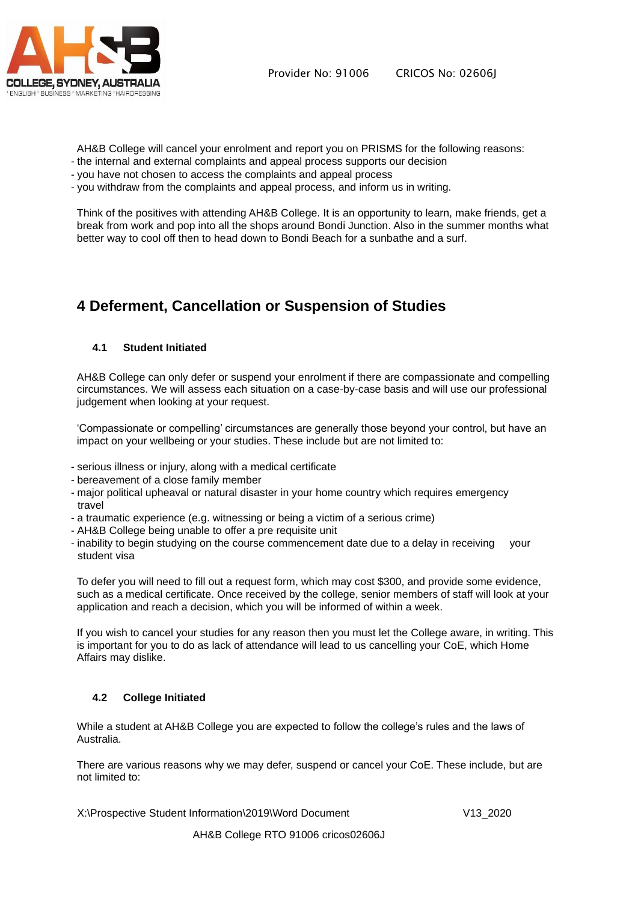

- AH&B College will cancel your enrolment and report you on PRISMS for the following reasons:
- the internal and external complaints and appeal process supports our decision
- you have not chosen to access the complaints and appeal process
- you withdraw from the complaints and appeal process, and inform us in writing.

Think of the positives with attending AH&B College. It is an opportunity to learn, make friends, get a break from work and pop into all the shops around Bondi Junction. Also in the summer months what better way to cool off then to head down to Bondi Beach for a sunbathe and a surf.

### **4 Deferment, Cancellation or Suspension of Studies**

#### **4.1 Student Initiated**

AH&B College can only defer or suspend your enrolment if there are compassionate and compelling circumstances. We will assess each situation on a case-by-case basis and will use our professional judgement when looking at your request.

'Compassionate or compelling' circumstances are generally those beyond your control, but have an impact on your wellbeing or your studies. These include but are not limited to:

- serious illness or injury, along with a medical certificate

- bereavement of a close family member
- major political upheaval or natural disaster in your home country which requires emergency travel
- a traumatic experience (e.g. witnessing or being a victim of a serious crime)
- AH&B College being unable to offer a pre requisite unit
- inability to begin studying on the course commencement date due to a delay in receiving your student visa

To defer you will need to fill out a request form, which may cost \$300, and provide some evidence, such as a medical certificate. Once received by the college, senior members of staff will look at your application and reach a decision, which you will be informed of within a week.

If you wish to cancel your studies for any reason then you must let the College aware, in writing. This is important for you to do as lack of attendance will lead to us cancelling your CoE, which Home Affairs may dislike.

#### **4.2 College Initiated**

While a student at AH&B College you are expected to follow the college's rules and the laws of Australia.

There are various reasons why we may defer, suspend or cancel your CoE. These include, but are not limited to:

X:\Prospective Student Information\2019\Word Document V13\_2020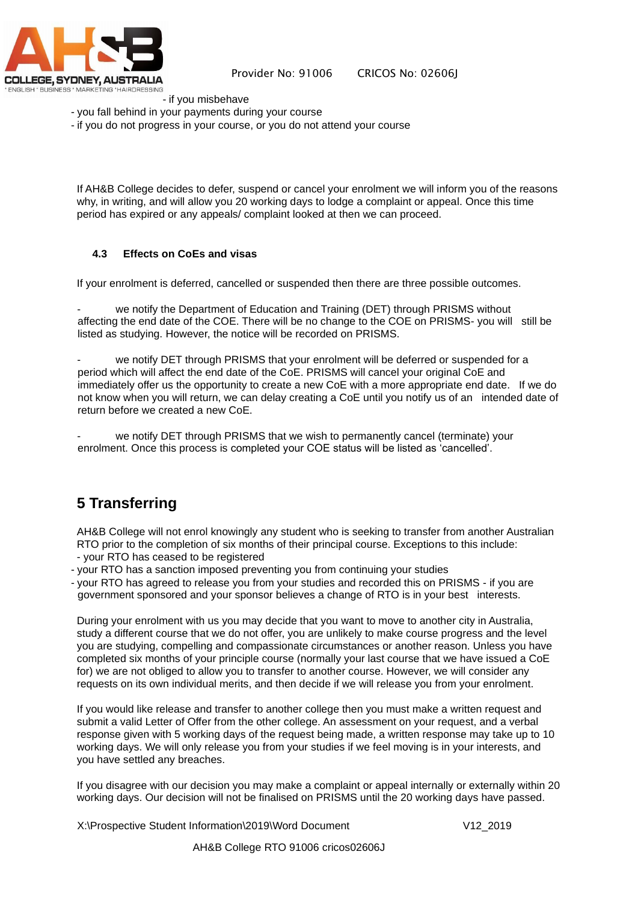

Provider No: 91006 CRICOS No: 02606J

- if you misbehave
- you fall behind in your payments during your course
- if you do not progress in your course, or you do not attend your course

If AH&B College decides to defer, suspend or cancel your enrolment we will inform you of the reasons why, in writing, and will allow you 20 working days to lodge a complaint or appeal. Once this time period has expired or any appeals/ complaint looked at then we can proceed.

#### **4.3 Effects on CoEs and visas**

If your enrolment is deferred, cancelled or suspended then there are three possible outcomes.

we notify the Department of Education and Training (DET) through PRISMS without affecting the end date of the COE. There will be no change to the COE on PRISMS- you will still be listed as studying. However, the notice will be recorded on PRISMS.

we notify DET through PRISMS that your enrolment will be deferred or suspended for a period which will affect the end date of the CoE. PRISMS will cancel your original CoE and immediately offer us the opportunity to create a new CoE with a more appropriate end date. If we do not know when you will return, we can delay creating a CoE until you notify us of an intended date of return before we created a new CoE.

we notify DET through PRISMS that we wish to permanently cancel (terminate) your enrolment. Once this process is completed your COE status will be listed as 'cancelled'.

### **5 Transferring**

AH&B College will not enrol knowingly any student who is seeking to transfer from another Australian RTO prior to the completion of six months of their principal course. Exceptions to this include: - your RTO has ceased to be registered

- your RTO has a sanction imposed preventing you from continuing your studies
- your RTO has agreed to release you from your studies and recorded this on PRISMS if you are government sponsored and your sponsor believes a change of RTO is in your best interests.

During your enrolment with us you may decide that you want to move to another city in Australia, study a different course that we do not offer, you are unlikely to make course progress and the level you are studying, compelling and compassionate circumstances or another reason. Unless you have completed six months of your principle course (normally your last course that we have issued a CoE for) we are not obliged to allow you to transfer to another course. However, we will consider any requests on its own individual merits, and then decide if we will release you from your enrolment.

If you would like release and transfer to another college then you must make a written request and submit a valid Letter of Offer from the other college. An assessment on your request, and a verbal response given with 5 working days of the request being made, a written response may take up to 10 working days. We will only release you from your studies if we feel moving is in your interests, and you have settled any breaches.

If you disagree with our decision you may make a complaint or appeal internally or externally within 20 working days. Our decision will not be finalised on PRISMS until the 20 working days have passed.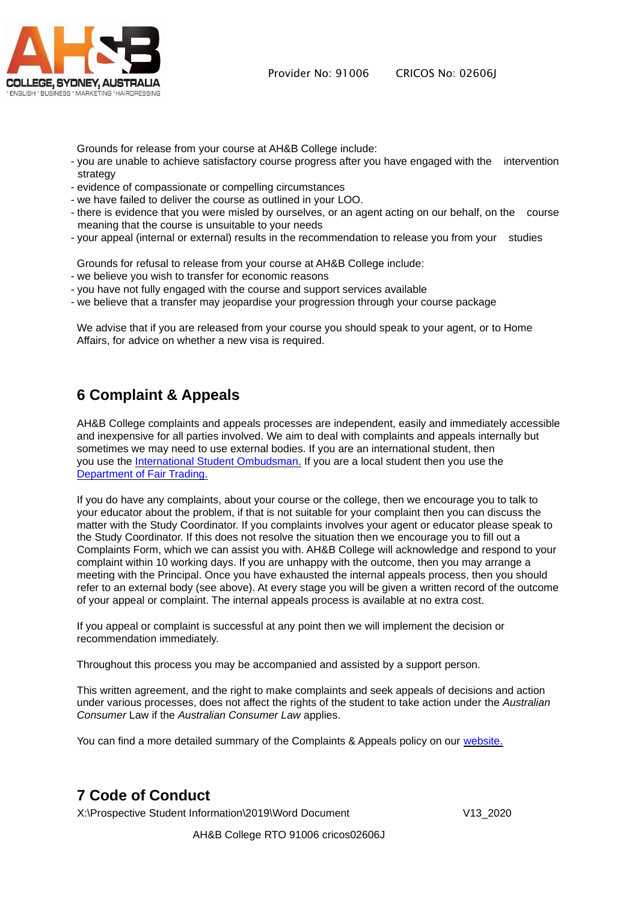

Grounds for release from your course at AH&B College include:

- you are unable to achieve satisfactory course progress after you have engaged with the intervention strategy
- evidence of compassionate or compelling circumstances
- we have failed to deliver the course as outlined in your LOO.
- there is evidence that you were misled by ourselves, or an agent acting on our behalf, on the course meaning that the course is unsuitable to your needs
- your appeal (internal or external) results in the recommendation to release you from your studies

Grounds for refusal to release from your course at AH&B College include:

- we believe you wish to transfer for economic reasons
- you have not fully engaged with the course and support services available
- we believe that a transfer may jeopardise your progression through your course package

We advise that if you are released from your course you should speak to your agent, or to Home Affairs, for advice on whether a new visa is required.

# **6 Complaint & Appeals**

AH&B College complaints and appeals processes are independent, easily and immediately accessible and inexpensive for all parties involved. We aim to deal with complaints and appeals internally but sometimes we may need to use external bodies. If you are an international student, then you use the [International Student Ombudsman.](http://www.ombudsman.gov.au/making-a-complaint) If you are a local student then you use the [Department of Fair Trading.](http://www.fairtrading.nsw.gov.au/ftw/About_us/Online_services/Lodge_a_complaint.page)

If you do have any complaints, about your course or the college, then we encourage you to talk to your educator about the problem, if that is not suitable for your complaint then you can discuss the matter with the Study Coordinator. If you complaints involves your agent or educator please speak to the Study Coordinator. If this does not resolve the situation then we encourage you to fill out a Complaints Form, which we can assist you with. AH&B College will acknowledge and respond to your complaint within 10 working days. If you are unhappy with the outcome, then you may arrange a meeting with the Principal. Once you have exhausted the internal appeals process, then you should refer to an external body (see above). At every stage you will be given a written record of the outcome of your appeal or complaint. The internal appeals process is available at no extra cost.

If you appeal or complaint is successful at any point then we will implement the decision or recommendation immediately.

Throughout this process you may be accompanied and assisted by a support person.

This written agreement, and the right to make complaints and seek appeals of decisions and action under various processes, does not affect the rights of the student to take action under the *Australian Consumer* Law if the *Australian Consumer Law* applies.

You can find a more detailed summary of the Complaints & Appeals policy on our [website.](https://docs.wixstatic.com/ugd/e2addd_c56eeef5f5d847ea9a05322f6d698512.pdf)

### **7 Code of Conduct**

X:\Prospective Student Information\2019\Word Document V13\_2020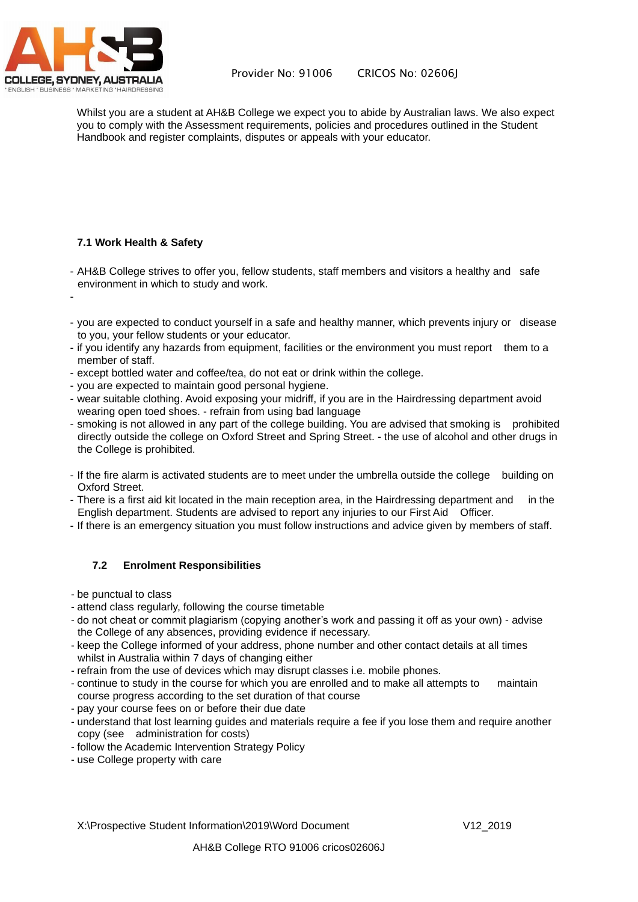

Whilst you are a student at AH&B College we expect you to abide by Australian laws. We also expect you to comply with the Assessment requirements, policies and procedures outlined in the Student Handbook and register complaints, disputes or appeals with your educator.

#### **7.1 Work Health & Safety**

- AH&B College strives to offer you, fellow students, staff members and visitors a healthy and safe environment in which to study and work.
- -
- you are expected to conduct yourself in a safe and healthy manner, which prevents injury or disease to you, your fellow students or your educator.
- if you identify any hazards from equipment, facilities or the environment you must report them to a member of staff.
- except bottled water and coffee/tea, do not eat or drink within the college.
- you are expected to maintain good personal hygiene.
- wear suitable clothing. Avoid exposing your midriff, if you are in the Hairdressing department avoid wearing open toed shoes. - refrain from using bad language
- smoking is not allowed in any part of the college building. You are advised that smoking is prohibited directly outside the college on Oxford Street and Spring Street. - the use of alcohol and other drugs in the College is prohibited.
- If the fire alarm is activated students are to meet under the umbrella outside the college building on Oxford Street.
- There is a first aid kit located in the main reception area, in the Hairdressing department and in the English department. Students are advised to report any injuries to our First Aid Officer.
- If there is an emergency situation you must follow instructions and advice given by members of staff.

#### **7.2 Enrolment Responsibilities**

- be punctual to class
- attend class regularly, following the course timetable
- do not cheat or commit plagiarism (copying another's work and passing it off as your own) advise the College of any absences, providing evidence if necessary.
- keep the College informed of your address, phone number and other contact details at all times whilst in Australia within 7 days of changing either
- refrain from the use of devices which may disrupt classes i.e. mobile phones.
- continue to study in the course for which you are enrolled and to make all attempts to maintain course progress according to the set duration of that course
- pay your course fees on or before their due date
- understand that lost learning guides and materials require a fee if you lose them and require another copy (see administration for costs)
- follow the Academic Intervention Strategy Policy
- use College property with care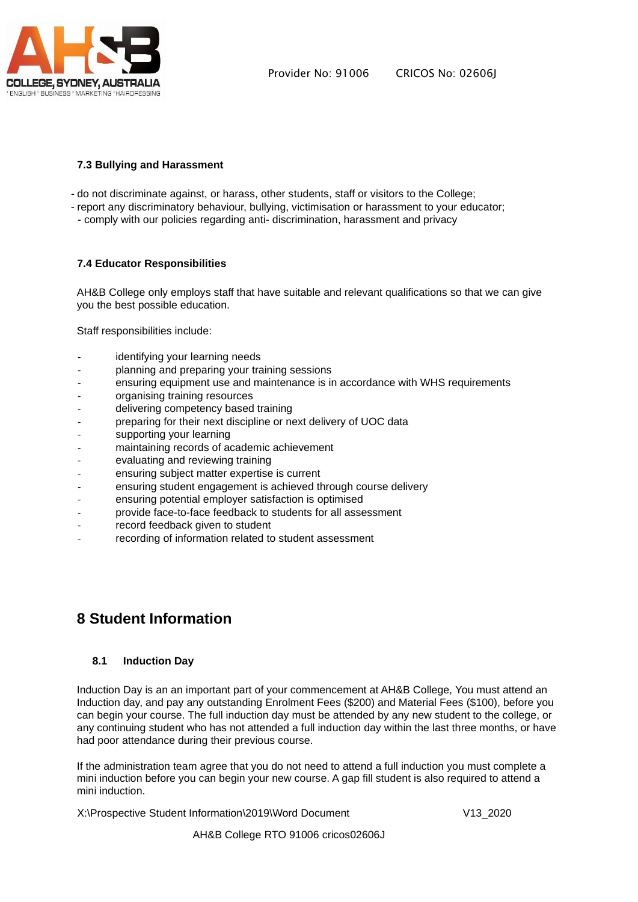

#### **7.3 Bullying and Harassment**

- do not discriminate against, or harass, other students, staff or visitors to the College;
- report any discriminatory behaviour, bullying, victimisation or harassment to your educator;
- comply with our policies regarding anti- discrimination, harassment and privacy

#### **7.4 Educator Responsibilities**

AH&B College only employs staff that have suitable and relevant qualifications so that we can give you the best possible education.

Staff responsibilities include:

- identifying your learning needs
- planning and preparing your training sessions
- ensuring equipment use and maintenance is in accordance with WHS requirements
- organising training resources
- delivering competency based training
- preparing for their next discipline or next delivery of UOC data
- supporting your learning
- maintaining records of academic achievement
- evaluating and reviewing training
- ensuring subject matter expertise is current
- ensuring student engagement is achieved through course delivery
- ensuring potential employer satisfaction is optimised
- provide face-to-face feedback to students for all assessment
- record feedback given to student
- recording of information related to student assessment

### **8 Student Information**

#### **8.1 Induction Day**

Induction Day is an an important part of your commencement at AH&B College, You must attend an Induction day, and pay any outstanding Enrolment Fees (\$200) and Material Fees (\$100), before you can begin your course. The full induction day must be attended by any new student to the college, or any continuing student who has not attended a full induction day within the last three months, or have had poor attendance during their previous course.

If the administration team agree that you do not need to attend a full induction you must complete a mini induction before you can begin your new course. A gap fill student is also required to attend a mini induction.

X:\Prospective Student Information\2019\Word Document V13\_2020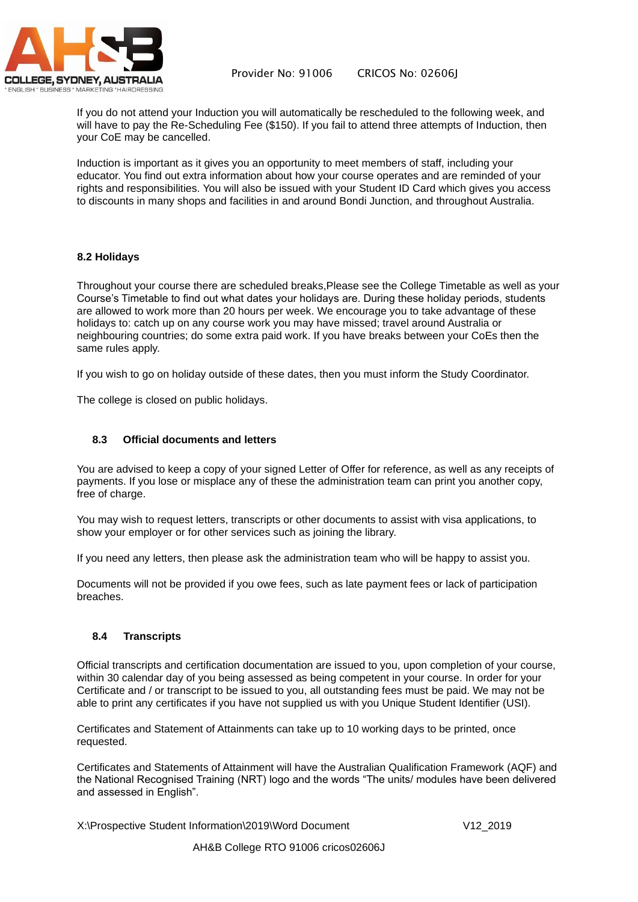

If you do not attend your Induction you will automatically be rescheduled to the following week, and will have to pay the Re-Scheduling Fee (\$150). If you fail to attend three attempts of Induction, then your CoE may be cancelled.

Induction is important as it gives you an opportunity to meet members of staff, including your educator. You find out extra information about how your course operates and are reminded of your rights and responsibilities. You will also be issued with your Student ID Card which gives you access to discounts in many shops and facilities in and around Bondi Junction, and throughout Australia.

#### **8.2 Holidays**

Throughout your course there are scheduled breaks,Please see the College Timetable as well as your Course's Timetable to find out what dates your holidays are. During these holiday periods, students are allowed to work more than 20 hours per week. We encourage you to take advantage of these holidays to: catch up on any course work you may have missed; travel around Australia or neighbouring countries; do some extra paid work. If you have breaks between your CoEs then the same rules apply.

If you wish to go on holiday outside of these dates, then you must inform the Study Coordinator.

The college is closed on public holidays.

#### **8.3 Official documents and letters**

You are advised to keep a copy of your signed Letter of Offer for reference, as well as any receipts of payments. If you lose or misplace any of these the administration team can print you another copy, free of charge.

You may wish to request letters, transcripts or other documents to assist with visa applications, to show your employer or for other services such as joining the library.

If you need any letters, then please ask the administration team who will be happy to assist you.

Documents will not be provided if you owe fees, such as late payment fees or lack of participation breaches.

#### **8.4 Transcripts**

Official transcripts and certification documentation are issued to you, upon completion of your course, within 30 calendar day of you being assessed as being competent in your course. In order for your Certificate and / or transcript to be issued to you, all outstanding fees must be paid. We may not be able to print any certificates if you have not supplied us with you Unique Student Identifier (USI).

Certificates and Statement of Attainments can take up to 10 working days to be printed, once requested.

Certificates and Statements of Attainment will have the Australian Qualification Framework (AQF) and the National Recognised Training (NRT) logo and the words "The units/ modules have been delivered and assessed in English".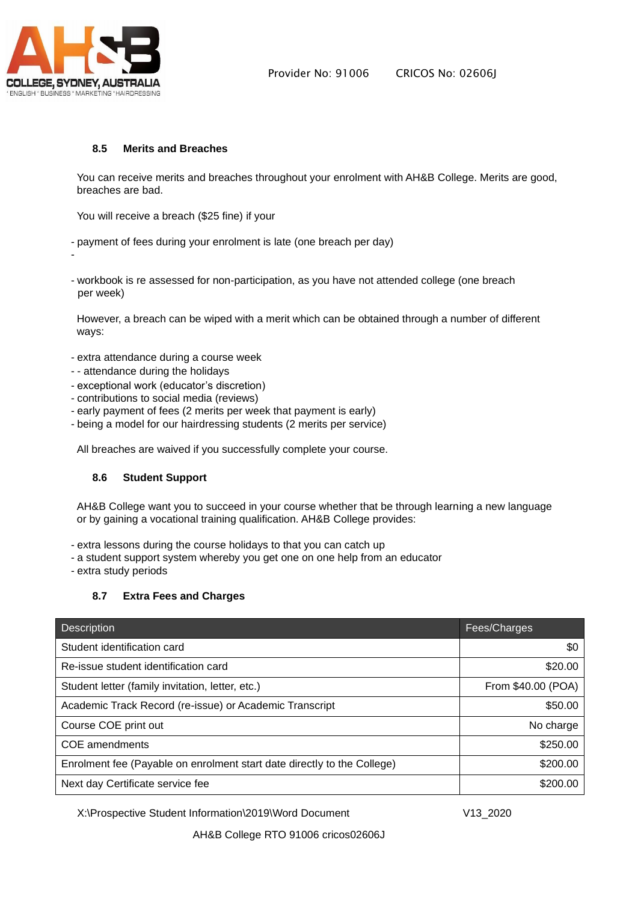

-

#### **8.5 Merits and Breaches**

You can receive merits and breaches throughout your enrolment with AH&B College. Merits are good, breaches are bad.

You will receive a breach (\$25 fine) if your

- payment of fees during your enrolment is late (one breach per day)

- workbook is re assessed for non-participation, as you have not attended college (one breach per week)

However, a breach can be wiped with a merit which can be obtained through a number of different ways:

- extra attendance during a course week
- - attendance during the holidays
- exceptional work (educator's discretion)
- contributions to social media (reviews)
- early payment of fees (2 merits per week that payment is early)
- being a model for our hairdressing students (2 merits per service)

All breaches are waived if you successfully complete your course.

#### **8.6 Student Support**

AH&B College want you to succeed in your course whether that be through learning a new language or by gaining a vocational training qualification. AH&B College provides:

- extra lessons during the course holidays to that you can catch up

- a student support system whereby you get one on one help from an educator

- extra study periods

#### **8.7 Extra Fees and Charges**

| <b>Description</b>                                                      | Fees/Charges       |
|-------------------------------------------------------------------------|--------------------|
| Student identification card                                             | \$0                |
| Re-issue student identification card                                    | \$20.00            |
| Student letter (family invitation, letter, etc.)                        | From \$40.00 (POA) |
| Academic Track Record (re-issue) or Academic Transcript                 | \$50.00            |
| Course COE print out                                                    | No charge          |
| COE amendments                                                          | \$250.00           |
| Enrolment fee (Payable on enrolment start date directly to the College) | \$200.00           |
| Next day Certificate service fee                                        | \$200.00           |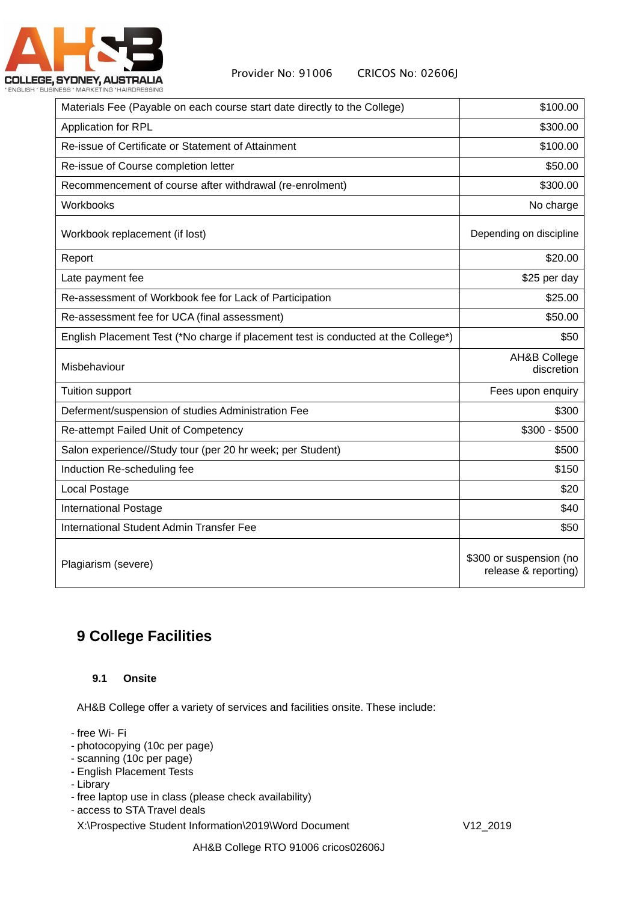

| Materials Fee (Payable on each course start date directly to the College)          | \$100.00                                        |
|------------------------------------------------------------------------------------|-------------------------------------------------|
| Application for RPL                                                                | \$300.00                                        |
| Re-issue of Certificate or Statement of Attainment                                 | \$100.00                                        |
| Re-issue of Course completion letter                                               | \$50.00                                         |
| Recommencement of course after withdrawal (re-enrolment)                           | \$300.00                                        |
| Workbooks                                                                          | No charge                                       |
| Workbook replacement (if lost)                                                     | Depending on discipline                         |
| Report                                                                             | \$20.00                                         |
| Late payment fee                                                                   | \$25 per day                                    |
| Re-assessment of Workbook fee for Lack of Participation                            | \$25.00                                         |
| Re-assessment fee for UCA (final assessment)                                       | \$50.00                                         |
| English Placement Test (*No charge if placement test is conducted at the College*) | \$50                                            |
| Misbehaviour                                                                       | <b>AH&amp;B College</b><br>discretion           |
| Tuition support                                                                    | Fees upon enquiry                               |
| Deferment/suspension of studies Administration Fee                                 | \$300                                           |
| Re-attempt Failed Unit of Competency                                               | $$300 - $500$                                   |
| Salon experience//Study tour (per 20 hr week; per Student)                         | \$500                                           |
| Induction Re-scheduling fee                                                        | \$150                                           |
| Local Postage                                                                      | \$20                                            |
| <b>International Postage</b>                                                       | \$40                                            |
| <b>International Student Admin Transfer Fee</b>                                    | \$50                                            |
| Plagiarism (severe)                                                                | \$300 or suspension (no<br>release & reporting) |

# **9 College Facilities**

#### **9.1 Onsite**

AH&B College offer a variety of services and facilities onsite. These include:

- free Wi- Fi

- photocopying (10c per page)
- scanning (10c per page)
- English Placement Tests
- Library
- free laptop use in class (please check availability)
- access to STA Travel deals
- X:\Prospective Student Information\2019\Word Document V12\_2019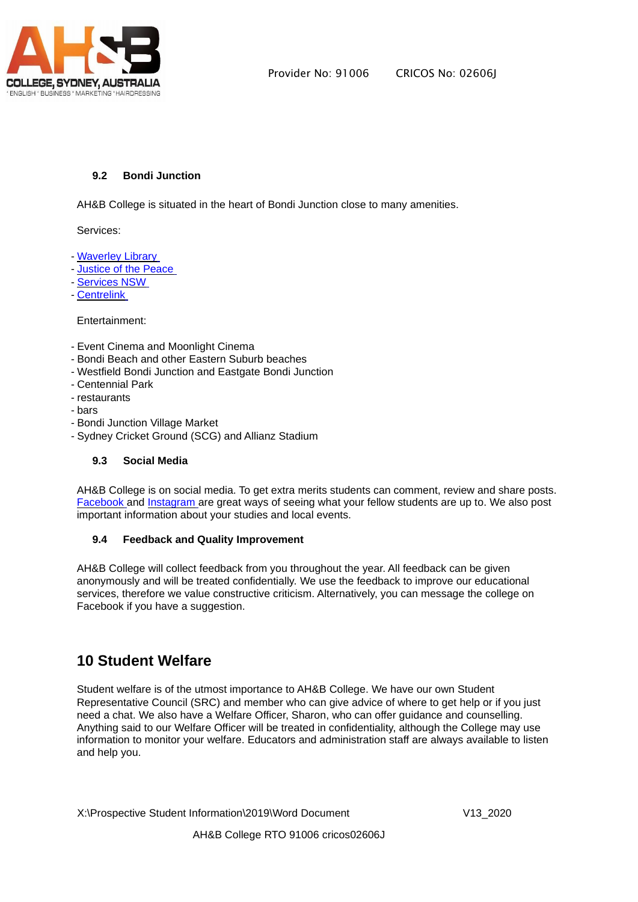

#### **9.2 Bondi Junction**

AH&B College is situated in the heart of Bondi Junction close to many amenities.

Services:

- [Waverley Library](http://www.waverley.nsw.gov.au/)
- [Justice of the Peace](http://www.jp.nsw.gov.au/)
- [Services NSW](https://www.service.nsw.gov.au/)
- [Centrelink](https://www.humanservices.gov.au/individuals/centrelink)

Entertainment:

- Event Cinema and Moonlight Cinema
- Bondi Beach and other Eastern Suburb beaches
- Westfield Bondi Junction and Eastgate Bondi Junction
- Centennial Park
- restaurants
- bars
- Bondi Junction Village Market
- Sydney Cricket Ground (SCG) and Allianz Stadium

#### **9.3 Social Media**

AH&B College is on social media. To get extra merits students can comment, review and share posts. [Facebook](https://www.facebook.com/ahbcollege/) [a](https://www.facebook.com/ahbcollege/)nd [Instagram](https://www.instagram.com/ahbcollege_91006/) are great ways of seeing what your fellow students are up to. We also post important information about your studies and local events.

#### **9.4 Feedback and Quality Improvement**

AH&B College will collect feedback from you throughout the year. All feedback can be given anonymously and will be treated confidentially. We use the feedback to improve our educational services, therefore we value constructive criticism. Alternatively, you can message the college on Facebook if you have a suggestion.

### **10 Student Welfare**

Student welfare is of the utmost importance to AH&B College. We have our own Student Representative Council (SRC) and member who can give advice of where to get help or if you just need a chat. We also have a Welfare Officer, Sharon, who can offer guidance and counselling. Anything said to our Welfare Officer will be treated in confidentiality, although the College may use information to monitor your welfare. Educators and administration staff are always available to listen and help you.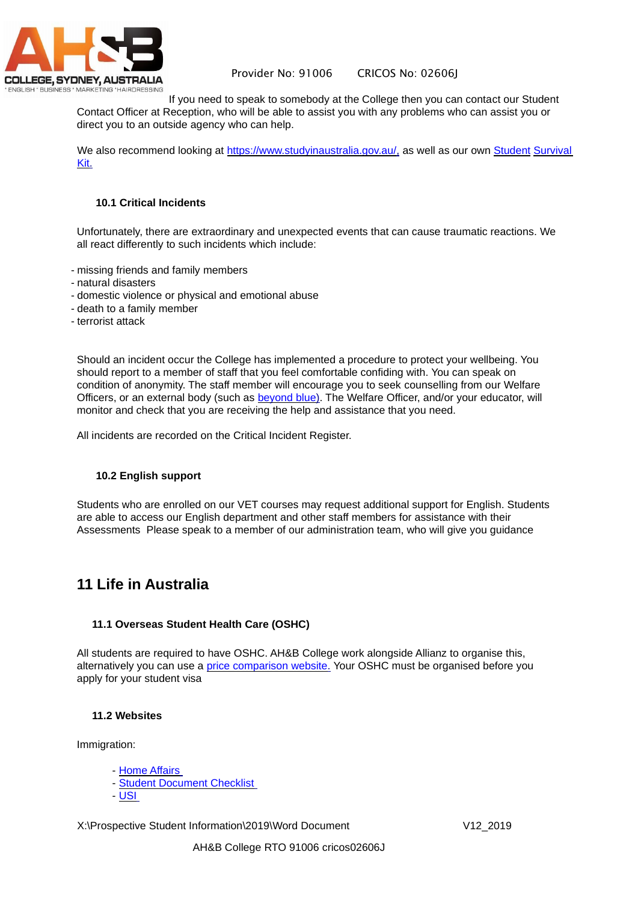

Provider No: 91006 CRICOS No: 02606J

If you need to speak to somebody at the College then you can contact our Student Contact Officer at Reception, who will be able to assist you with any problems who can assist you or direct you to an outside agency who can help.

We also recommend looking at [https://www.studyinaustralia.gov.au/,](https://www.studyinaustralia.gov.au/) as well as our own [Student](file://///AHBSVR/Data/Prospective%20Student%20Information/2018/GENERAL%20INFORMATION/Student%20Survival%20Kit%20V11_062018.pdf) [Survival](file://///AHBSVR/Data/Prospective%20Student%20Information/2018/GENERAL%20INFORMATION/Student%20Survival%20Kit%20V11_062018.pdf)  [Kit.](file://///AHBSVR/Data/Prospective%20Student%20Information/2018/GENERAL%20INFORMATION/Student%20Survival%20Kit%20V11_062018.pdf) 

#### **10.1 Critical Incidents**

Unfortunately, there are extraordinary and unexpected events that can cause traumatic reactions. We all react differently to such incidents which include:

- missing friends and family members
- natural disasters
- domestic violence or physical and emotional abuse
- death to a family member
- terrorist attack

Should an incident occur the College has implemented a procedure to protect your wellbeing. You should report to a member of staff that you feel comfortable confiding with. You can speak on condition of anonymity. The staff member will encourage you to seek counselling from our Welfare Officers, or an external body (such as [beyond](https://www.beyondblue.org.au/) blu[e\).](https://www.beyondblue.org.au/) The Welfare Officer, and/or your educator, will monitor and check that you are receiving the help and assistance that you need.

All incidents are recorded on the Critical Incident Register.

#### **10.2 English support**

Students who are enrolled on our VET courses may request additional support for English. Students are able to access our English department and other staff members for assistance with their Assessments Please speak to a member of our administration team, who will give you guidance

### **11 Life in Australia**

#### **11.1 Overseas Student Health Care (OSHC)**

All students are required to have OSHC. AH&B College work alongside Allianz to organise this, alternatively you can use a [price comparison website.](https://oshcaustralia.com.au/en) Your OSHC must be organised before you apply for your student visa

#### **11.2 Websites**

Immigration:

- [Home Affairs](https://www.homeaffairs.gov.au/) - [Student Document Checklist](https://www.homeaffairs.gov.au/trav/visa-1/500-)
- [USI](https://www.usi.gov.au/)